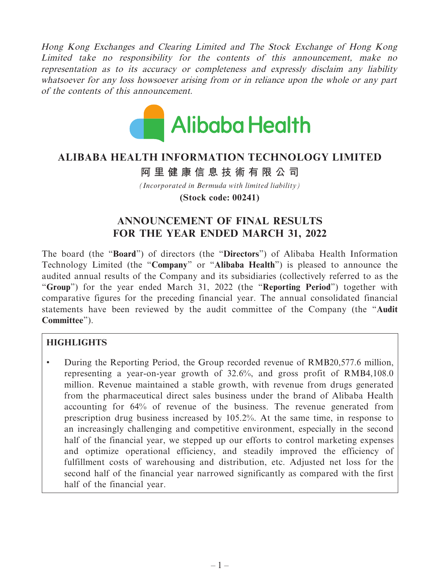Hong Kong Exchanges and Clearing Limited and The Stock Exchange of Hong Kong Limited take no responsibility for the contents of this announcement, make no representation as to its accuracy or completeness and expressly disclaim any liability whatsoever for any loss howsoever arising from or in reliance upon the whole or any part of the contents of this announcement.



## **ALIBABA HEALTH INFORMATION TECHNOLOGY LIMITED**

## **阿里健康信息技術有限公司**

*(Incorporated in Bermuda with limited liability)* **(Stock code: 00241)**

## **ANNOUNCEMENT OF FINAL RESULTS FOR THE YEAR ENDED MARCH 31, 2022**

The board (the "**Board**") of directors (the "**Directors**") of Alibaba Health Information Technology Limited (the "**Company**" or "**Alibaba Health**") is pleased to announce the audited annual results of the Company and its subsidiaries (collectively referred to as the "**Group**") for the year ended March 31, 2022 (the "**Reporting Period**") together with comparative figures for the preceding financial year. The annual consolidated financial statements have been reviewed by the audit committee of the Company (the "**Audit Committee**").

## **HIGHLIGHTS**

• During the Reporting Period, the Group recorded revenue of RMB20,577.6 million, representing a year-on-year growth of 32.6%, and gross profit of RMB4,108.0 million. Revenue maintained a stable growth, with revenue from drugs generated from the pharmaceutical direct sales business under the brand of Alibaba Health accounting for 64% of revenue of the business. The revenue generated from prescription drug business increased by 105.2%. At the same time, in response to an increasingly challenging and competitive environment, especially in the second half of the financial year, we stepped up our efforts to control marketing expenses and optimize operational efficiency, and steadily improved the efficiency of fulfillment costs of warehousing and distribution, etc. Adjusted net loss for the second half of the financial year narrowed significantly as compared with the first half of the financial year.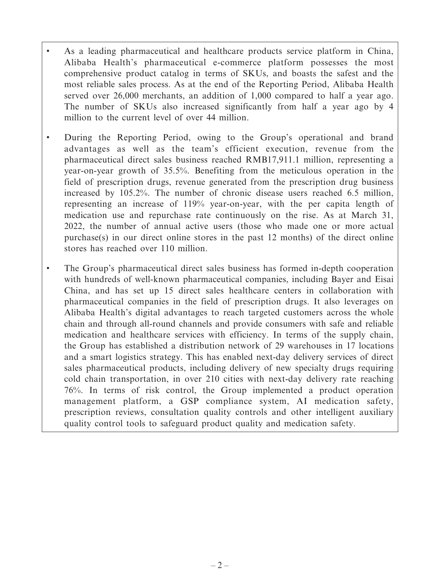- As a leading pharmaceutical and healthcare products service platform in China, Alibaba Health's pharmaceutical e-commerce platform possesses the most comprehensive product catalog in terms of SKUs, and boasts the safest and the most reliable sales process. As at the end of the Reporting Period, Alibaba Health served over 26,000 merchants, an addition of 1,000 compared to half a year ago. The number of SKUs also increased significantly from half a year ago by 4 million to the current level of over 44 million.
- During the Reporting Period, owing to the Group's operational and brand advantages as well as the team's efficient execution, revenue from the pharmaceutical direct sales business reached RMB17,911.1 million, representing a year-on-year growth of 35.5%. Benefiting from the meticulous operation in the field of prescription drugs, revenue generated from the prescription drug business increased by 105.2%. The number of chronic disease users reached 6.5 million, representing an increase of 119% year-on-year, with the per capita length of medication use and repurchase rate continuously on the rise. As at March 31, 2022, the number of annual active users (those who made one or more actual purchase(s) in our direct online stores in the past 12 months) of the direct online stores has reached over 110 million.
- The Group's pharmaceutical direct sales business has formed in-depth cooperation with hundreds of well-known pharmaceutical companies, including Bayer and Eisai China, and has set up 15 direct sales healthcare centers in collaboration with pharmaceutical companies in the field of prescription drugs. It also leverages on Alibaba Health's digital advantages to reach targeted customers across the whole chain and through all-round channels and provide consumers with safe and reliable medication and healthcare services with efficiency. In terms of the supply chain, the Group has established a distribution network of 29 warehouses in 17 locations and a smart logistics strategy. This has enabled next-day delivery services of direct sales pharmaceutical products, including delivery of new specialty drugs requiring cold chain transportation, in over 210 cities with next-day delivery rate reaching 76%. In terms of risk control, the Group implemented a product operation management platform, a GSP compliance system, AI medication safety, prescription reviews, consultation quality controls and other intelligent auxiliary quality control tools to safeguard product quality and medication safety.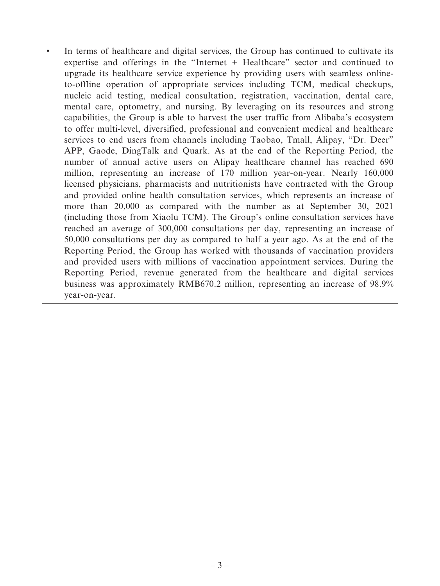In terms of healthcare and digital services, the Group has continued to cultivate its expertise and offerings in the "Internet + Healthcare" sector and continued to upgrade its healthcare service experience by providing users with seamless onlineto-offline operation of appropriate services including TCM, medical checkups, nucleic acid testing, medical consultation, registration, vaccination, dental care, mental care, optometry, and nursing. By leveraging on its resources and strong capabilities, the Group is able to harvest the user traffic from Alibaba's ecosystem to offer multi-level, diversified, professional and convenient medical and healthcare services to end users from channels including Taobao, Tmall, Alipay, "Dr. Deer" APP, Gaode, DingTalk and Quark. As at the end of the Reporting Period, the number of annual active users on Alipay healthcare channel has reached 690 million, representing an increase of 170 million year-on-year. Nearly 160,000 licensed physicians, pharmacists and nutritionists have contracted with the Group and provided online health consultation services, which represents an increase of more than 20,000 as compared with the number as at September 30, 2021 (including those from Xiaolu TCM). The Group's online consultation services have reached an average of 300,000 consultations per day, representing an increase of 50,000 consultations per day as compared to half a year ago. As at the end of the Reporting Period, the Group has worked with thousands of vaccination providers and provided users with millions of vaccination appointment services. During the Reporting Period, revenue generated from the healthcare and digital services business was approximately RMB670.2 million, representing an increase of 98.9% year-on-year.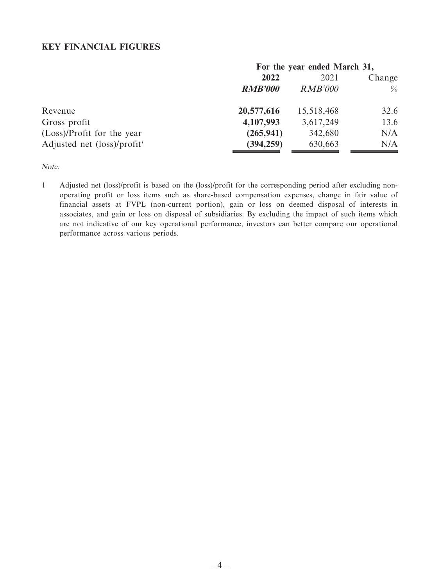## **KEY FINANCIAL FIGURES**

| For the year ended March 31, |                |                |  |
|------------------------------|----------------|----------------|--|
| 2022                         |                | 2021<br>Change |  |
| <b>RMB'000</b>               | <b>RMB'000</b> | $\%$           |  |
| 20,577,616                   | 15,518,468     | 32.6           |  |
| 4,107,993                    | 3,617,249      | 13.6           |  |
| (265, 941)                   | 342,680        | N/A            |  |
| (394, 259)                   | 630,663        | N/A            |  |
|                              |                |                |  |

Note:

1 Adjusted net (loss)/profit is based on the (loss)/profit for the corresponding period after excluding nonoperating profit or loss items such as share-based compensation expenses, change in fair value of financial assets at FVPL (non-current portion), gain or loss on deemed disposal of interests in associates, and gain or loss on disposal of subsidiaries. By excluding the impact of such items which are not indicative of our key operational performance, investors can better compare our operational performance across various periods.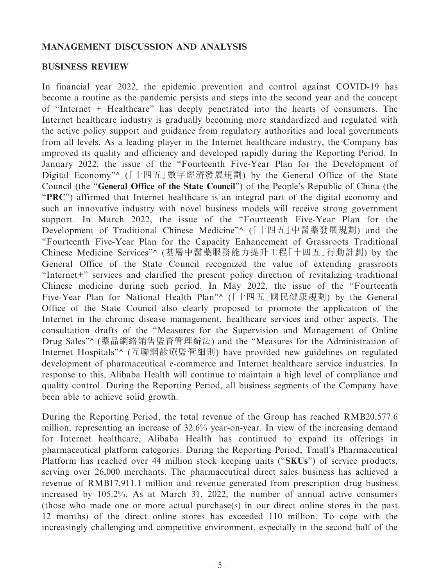## **MANAGEMENT DISCUSSION AND ANALYSIS**

## **BUSINESS REVIEW**

In financial year 2022, the epidemic prevention and control against COVID-19 has become a routine as the pandemic persists and steps into the second year and the concept of "Internet + Healthcare" has deeply penetrated into the hearts of consumers. The Internet healthcare industry is gradually becoming more standardized and regulated with the active policy support and guidance from regulatory authorities and local governments from all levels. As a leading player in the Internet healthcare industry, the Company has improved its quality and efficiency and developed rapidly during the Reporting Period. In January 2022, the issue of the "Fourteenth Five-Year Plan for the Development of Digital Economy"^ (「十四五」數字經濟發展規劃) by the General Office of the State Council (the "**General Office of the State Council**") of the People's Republic of China (the "**PRC**") affirmed that Internet healthcare is an integral part of the digital economy and such an innovative industry with novel business models will receive strong government support. In March 2022, the issue of the "Fourteenth Five-Year Plan for the Development of Traditional Chinese Medicine"^ (「十四五」中醫藥發展規劃) and the "Fourteenth Five-Year Plan for the Capacity Enhancement of Grassroots Traditional Chinese Medicine Services"^ (基層中醫藥服務能力提升工程「十四五」行動計劃) by the General Office of the State Council recognized the value of extending grassroots "Internet+" services and clarified the present policy direction of revitalizing traditional Chinese medicine during such period. In May 2022, the issue of the "Fourteenth Five-Year Plan for National Health Plan"^ (「十四五」國民健康規劃) by the General Office of the State Council also clearly proposed to promote the application of the Internet in the chronic disease management, healthcare services and other aspects. The consultation drafts of the "Measures for the Supervision and Management of Online Drug Sales"^ (藥品網絡銷售監督管理辦法) and the "Measures for the Administration of Internet Hospitals"^ (互聯網診療監管細則) have provided new guidelines on regulated development of pharmaceutical e-commerce and Internet healthcare service industries. In response to this, Alibaba Health will continue to maintain a high level of compliance and quality control. During the Reporting Period, all business segments of the Company have been able to achieve solid growth.

During the Reporting Period, the total revenue of the Group has reached RMB20,577.6 million, representing an increase of 32.6% year-on-year. In view of the increasing demand for Internet healthcare, Alibaba Health has continued to expand its offerings in pharmaceutical platform categories. During the Reporting Period, Tmall's Pharmaceutical Platform has reached over 44 million stock keeping units ("**SKUs**") of service products, serving over 26,000 merchants. The pharmaceutical direct sales business has achieved a revenue of RMB17,911.1 million and revenue generated from prescription drug business increased by 105.2%. As at March 31, 2022, the number of annual active consumers (those who made one or more actual purchase(s) in our direct online stores in the past 12 months) of the direct online stores has exceeded 110 million. To cope with the increasingly challenging and competitive environment, especially in the second half of the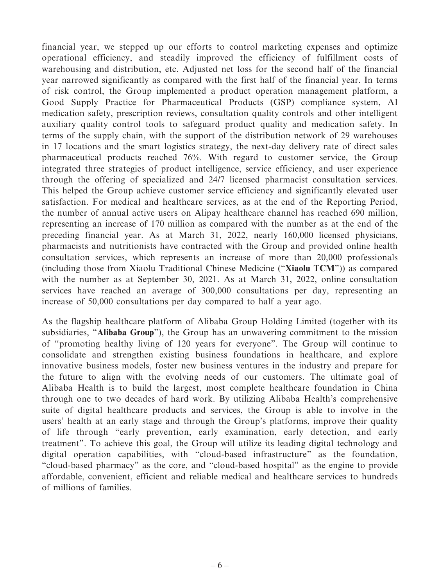financial year, we stepped up our efforts to control marketing expenses and optimize operational efficiency, and steadily improved the efficiency of fulfillment costs of warehousing and distribution, etc. Adjusted net loss for the second half of the financial year narrowed significantly as compared with the first half of the financial year. In terms of risk control, the Group implemented a product operation management platform, a Good Supply Practice for Pharmaceutical Products (GSP) compliance system, AI medication safety, prescription reviews, consultation quality controls and other intelligent auxiliary quality control tools to safeguard product quality and medication safety. In terms of the supply chain, with the support of the distribution network of 29 warehouses in 17 locations and the smart logistics strategy, the next-day delivery rate of direct sales pharmaceutical products reached 76%. With regard to customer service, the Group integrated three strategies of product intelligence, service efficiency, and user experience through the offering of specialized and 24/7 licensed pharmacist consultation services. This helped the Group achieve customer service efficiency and significantly elevated user satisfaction. For medical and healthcare services, as at the end of the Reporting Period, the number of annual active users on Alipay healthcare channel has reached 690 million, representing an increase of 170 million as compared with the number as at the end of the preceding financial year. As at March 31, 2022, nearly 160,000 licensed physicians, pharmacists and nutritionists have contracted with the Group and provided online health consultation services, which represents an increase of more than 20,000 professionals (including those from Xiaolu Traditional Chinese Medicine ("**Xiaolu TCM**")) as compared with the number as at September 30, 2021. As at March 31, 2022, online consultation services have reached an average of 300,000 consultations per day, representing an increase of 50,000 consultations per day compared to half a year ago.

As the flagship healthcare platform of Alibaba Group Holding Limited (together with its subsidiaries, "**Alibaba Group**"), the Group has an unwavering commitment to the mission of "promoting healthy living of 120 years for everyone". The Group will continue to consolidate and strengthen existing business foundations in healthcare, and explore innovative business models, foster new business ventures in the industry and prepare for the future to align with the evolving needs of our customers. The ultimate goal of Alibaba Health is to build the largest, most complete healthcare foundation in China through one to two decades of hard work. By utilizing Alibaba Health's comprehensive suite of digital healthcare products and services, the Group is able to involve in the users' health at an early stage and through the Group's platforms, improve their quality of life through "early prevention, early examination, early detection, and early treatment". To achieve this goal, the Group will utilize its leading digital technology and digital operation capabilities, with "cloud-based infrastructure" as the foundation, "cloud-based pharmacy" as the core, and "cloud-based hospital" as the engine to provide affordable, convenient, efficient and reliable medical and healthcare services to hundreds of millions of families.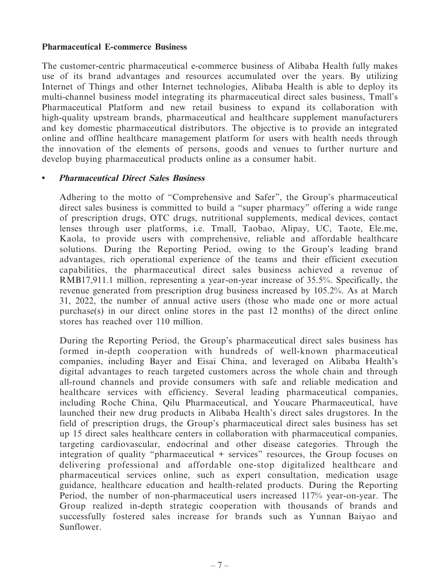### **Pharmaceutical E-commerce Business**

The customer-centric pharmaceutical e-commerce business of Alibaba Health fully makes use of its brand advantages and resources accumulated over the years. By utilizing Internet of Things and other Internet technologies, Alibaba Health is able to deploy its multi-channel business model integrating its pharmaceutical direct sales business, Tmall's Pharmaceutical Platform and new retail business to expand its collaboration with high-quality upstream brands, pharmaceutical and healthcare supplement manufacturers and key domestic pharmaceutical distributors. The objective is to provide an integrated online and offline healthcare management platform for users with health needs through the innovation of the elements of persons, goods and venues to further nurture and develop buying pharmaceutical products online as a consumer habit.

## **• Pharmaceutical Direct Sales Business**

Adhering to the motto of "Comprehensive and Safer", the Group's pharmaceutical direct sales business is committed to build a "super pharmacy" offering a wide range of prescription drugs, OTC drugs, nutritional supplements, medical devices, contact lenses through user platforms, i.e. Tmall, Taobao, Alipay, UC, Taote, Ele.me, Kaola, to provide users with comprehensive, reliable and affordable healthcare solutions. During the Reporting Period, owing to the Group's leading brand advantages, rich operational experience of the teams and their efficient execution capabilities, the pharmaceutical direct sales business achieved a revenue of RMB17,911.1 million, representing a year-on-year increase of 35.5%. Specifically, the revenue generated from prescription drug business increased by 105.2%. As at March 31, 2022, the number of annual active users (those who made one or more actual purchase(s) in our direct online stores in the past 12 months) of the direct online stores has reached over 110 million.

During the Reporting Period, the Group's pharmaceutical direct sales business has formed in-depth cooperation with hundreds of well-known pharmaceutical companies, including Bayer and Eisai China, and leveraged on Alibaba Health's digital advantages to reach targeted customers across the whole chain and through all-round channels and provide consumers with safe and reliable medication and healthcare services with efficiency. Several leading pharmaceutical companies, including Roche China, Qilu Pharmaceutical, and Youcare Pharmaceutical, have launched their new drug products in Alibaba Health's direct sales drugstores. In the field of prescription drugs, the Group's pharmaceutical direct sales business has set up 15 direct sales healthcare centers in collaboration with pharmaceutical companies, targeting cardiovascular, endocrinal and other disease categories. Through the integration of quality "pharmaceutical + services" resources, the Group focuses on delivering professional and affordable one-stop digitalized healthcare and pharmaceutical services online, such as expert consultation, medication usage guidance, healthcare education and health-related products. During the Reporting Period, the number of non-pharmaceutical users increased 117% year-on-year. The Group realized in-depth strategic cooperation with thousands of brands and successfully fostered sales increase for brands such as Yunnan Baiyao and Sunflower.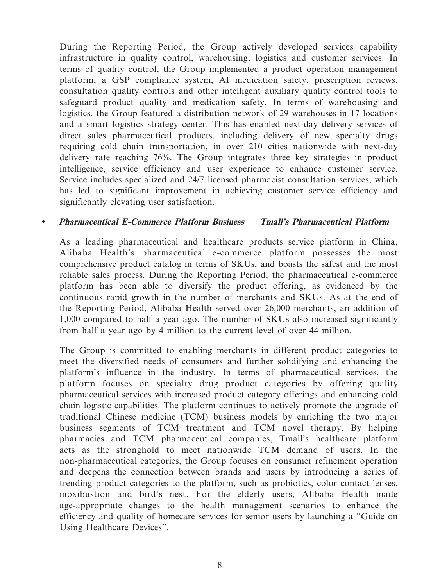During the Reporting Period, the Group actively developed services capability infrastructure in quality control, warehousing, logistics and customer services. In terms of quality control, the Group implemented a product operation management platform, a GSP compliance system, AI medication safety, prescription reviews, consultation quality controls and other intelligent auxiliary quality control tools to safeguard product quality and medication safety. In terms of warehousing and logistics, the Group featured a distribution network of 29 warehouses in 17 locations and a smart logistics strategy center. This has enabled next-day delivery services of direct sales pharmaceutical products, including delivery of new specialty drugs requiring cold chain transportation, in over 210 cities nationwide with next-day delivery rate reaching 76%. The Group integrates three key strategies in product intelligence, service efficiency and user experience to enhance customer service. Service includes specialized and 24/7 licensed pharmacist consultation services, which has led to significant improvement in achieving customer service efficiency and significantly elevating user satisfaction.

## **• Pharmaceutical E-Commerce Platform Business — Tmall's Pharmaceutical Platform**

As a leading pharmaceutical and healthcare products service platform in China, Alibaba Health's pharmaceutical e-commerce platform possesses the most comprehensive product catalog in terms of SKUs, and boasts the safest and the most reliable sales process. During the Reporting Period, the pharmaceutical e-commerce platform has been able to diversify the product offering, as evidenced by the continuous rapid growth in the number of merchants and SKUs. As at the end of the Reporting Period, Alibaba Health served over 26,000 merchants, an addition of 1,000 compared to half a year ago. The number of SKUs also increased significantly from half a year ago by 4 million to the current level of over 44 million.

The Group is committed to enabling merchants in different product categories to meet the diversified needs of consumers and further solidifying and enhancing the platform's influence in the industry. In terms of pharmaceutical services, the platform focuses on specialty drug product categories by offering quality pharmaceutical services with increased product category offerings and enhancing cold chain logistic capabilities. The platform continues to actively promote the upgrade of traditional Chinese medicine (TCM) business models by enriching the two major business segments of TCM treatment and TCM novel therapy. By helping pharmacies and TCM pharmaceutical companies, Tmall's healthcare platform acts as the stronghold to meet nationwide TCM demand of users. In the non-pharmaceutical categories, the Group focuses on consumer refinement operation and deepens the connection between brands and users by introducing a series of trending product categories to the platform, such as probiotics, color contact lenses, moxibustion and bird's nest. For the elderly users, Alibaba Health made age-appropriate changes to the health management scenarios to enhance the efficiency and quality of homecare services for senior users by launching a "Guide on Using Healthcare Devices".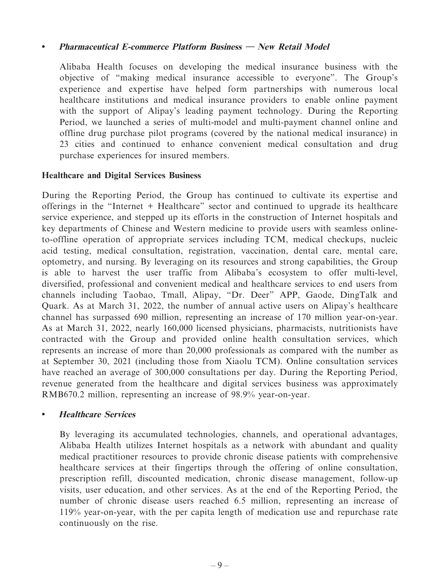## **• Pharmaceutical E-commerce Platform Business — New Retail Model**

Alibaba Health focuses on developing the medical insurance business with the objective of "making medical insurance accessible to everyone". The Group's experience and expertise have helped form partnerships with numerous local healthcare institutions and medical insurance providers to enable online payment with the support of Alipay's leading payment technology. During the Reporting Period, we launched a series of multi-model and multi-payment channel online and offline drug purchase pilot programs (covered by the national medical insurance) in 23 cities and continued to enhance convenient medical consultation and drug purchase experiences for insured members.

## **Healthcare and Digital Services Business**

During the Reporting Period, the Group has continued to cultivate its expertise and offerings in the "Internet + Healthcare" sector and continued to upgrade its healthcare service experience, and stepped up its efforts in the construction of Internet hospitals and key departments of Chinese and Western medicine to provide users with seamless onlineto-offline operation of appropriate services including TCM, medical checkups, nucleic acid testing, medical consultation, registration, vaccination, dental care, mental care, optometry, and nursing. By leveraging on its resources and strong capabilities, the Group is able to harvest the user traffic from Alibaba's ecosystem to offer multi-level, diversified, professional and convenient medical and healthcare services to end users from channels including Taobao, Tmall, Alipay, "Dr. Deer" APP, Gaode, DingTalk and Quark. As at March 31, 2022, the number of annual active users on Alipay's healthcare channel has surpassed 690 million, representing an increase of 170 million year-on-year. As at March 31, 2022, nearly 160,000 licensed physicians, pharmacists, nutritionists have contracted with the Group and provided online health consultation services, which represents an increase of more than 20,000 professionals as compared with the number as at September 30, 2021 (including those from Xiaolu TCM). Online consultation services have reached an average of 300,000 consultations per day. During the Reporting Period, revenue generated from the healthcare and digital services business was approximately RMB670.2 million, representing an increase of 98.9% year-on-year.

## **• Healthcare Services**

By leveraging its accumulated technologies, channels, and operational advantages, Alibaba Health utilizes Internet hospitals as a network with abundant and quality medical practitioner resources to provide chronic disease patients with comprehensive healthcare services at their fingertips through the offering of online consultation, prescription refill, discounted medication, chronic disease management, follow-up visits, user education, and other services. As at the end of the Reporting Period, the number of chronic disease users reached 6.5 million, representing an increase of 119% year-on-year, with the per capita length of medication use and repurchase rate continuously on the rise.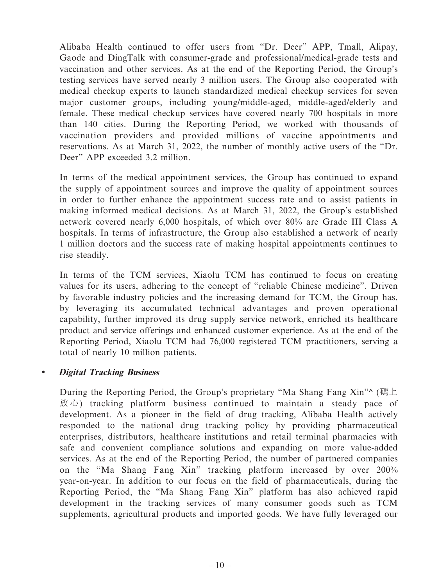Alibaba Health continued to offer users from "Dr. Deer" APP, Tmall, Alipay, Gaode and DingTalk with consumer-grade and professional/medical-grade tests and vaccination and other services. As at the end of the Reporting Period, the Group's testing services have served nearly 3 million users. The Group also cooperated with medical checkup experts to launch standardized medical checkup services for seven major customer groups, including young/middle-aged, middle-aged/elderly and female. These medical checkup services have covered nearly 700 hospitals in more than 140 cities. During the Reporting Period, we worked with thousands of vaccination providers and provided millions of vaccine appointments and reservations. As at March 31, 2022, the number of monthly active users of the "Dr. Deer" APP exceeded 3.2 million.

In terms of the medical appointment services, the Group has continued to expand the supply of appointment sources and improve the quality of appointment sources in order to further enhance the appointment success rate and to assist patients in making informed medical decisions. As at March 31, 2022, the Group's established network covered nearly 6,000 hospitals, of which over 80% are Grade III Class A hospitals. In terms of infrastructure, the Group also established a network of nearly 1 million doctors and the success rate of making hospital appointments continues to rise steadily.

In terms of the TCM services, Xiaolu TCM has continued to focus on creating values for its users, adhering to the concept of "reliable Chinese medicine". Driven by favorable industry policies and the increasing demand for TCM, the Group has, by leveraging its accumulated technical advantages and proven operational capability, further improved its drug supply service network, enriched its healthcare product and service offerings and enhanced customer experience. As at the end of the Reporting Period, Xiaolu TCM had 76,000 registered TCM practitioners, serving a total of nearly 10 million patients.

## **• Digital Tracking Business**

During the Reporting Period, the Group's proprietary "Ma Shang Fang Xin" (碼上) 放心) tracking platform business continued to maintain a steady pace of development. As a pioneer in the field of drug tracking, Alibaba Health actively responded to the national drug tracking policy by providing pharmaceutical enterprises, distributors, healthcare institutions and retail terminal pharmacies with safe and convenient compliance solutions and expanding on more value-added services. As at the end of the Reporting Period, the number of partnered companies on the "Ma Shang Fang Xin" tracking platform increased by over 200% year-on-year. In addition to our focus on the field of pharmaceuticals, during the Reporting Period, the "Ma Shang Fang Xin" platform has also achieved rapid development in the tracking services of many consumer goods such as TCM supplements, agricultural products and imported goods. We have fully leveraged our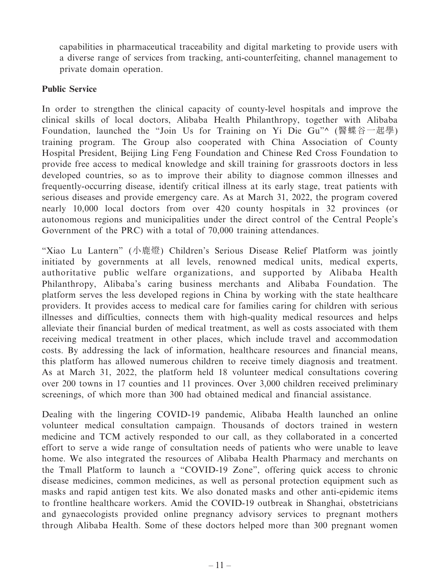capabilities in pharmaceutical traceability and digital marketing to provide users with a diverse range of services from tracking, anti-counterfeiting, channel management to private domain operation.

## **Public Service**

In order to strengthen the clinical capacity of county-level hospitals and improve the clinical skills of local doctors, Alibaba Health Philanthropy, together with Alibaba Foundation, launched the "Join Us for Training on Yi Die Gu"^ (醫蝶谷一起學) training program. The Group also cooperated with China Association of County Hospital President, Beijing Ling Feng Foundation and Chinese Red Cross Foundation to provide free access to medical knowledge and skill training for grassroots doctors in less developed countries, so as to improve their ability to diagnose common illnesses and frequently-occurring disease, identify critical illness at its early stage, treat patients with serious diseases and provide emergency care. As at March 31, 2022, the program covered nearly 10,000 local doctors from over 420 county hospitals in 32 provinces (or autonomous regions and municipalities under the direct control of the Central People's Government of the PRC) with a total of 70,000 training attendances.

"Xiao Lu Lantern" (小鹿燈) Children's Serious Disease Relief Platform was jointly initiated by governments at all levels, renowned medical units, medical experts, authoritative public welfare organizations, and supported by Alibaba Health Philanthropy, Alibaba's caring business merchants and Alibaba Foundation. The platform serves the less developed regions in China by working with the state healthcare providers. It provides access to medical care for families caring for children with serious illnesses and difficulties, connects them with high-quality medical resources and helps alleviate their financial burden of medical treatment, as well as costs associated with them receiving medical treatment in other places, which include travel and accommodation costs. By addressing the lack of information, healthcare resources and financial means, this platform has allowed numerous children to receive timely diagnosis and treatment. As at March 31, 2022, the platform held 18 volunteer medical consultations covering over 200 towns in 17 counties and 11 provinces. Over 3,000 children received preliminary screenings, of which more than 300 had obtained medical and financial assistance.

Dealing with the lingering COVID-19 pandemic, Alibaba Health launched an online volunteer medical consultation campaign. Thousands of doctors trained in western medicine and TCM actively responded to our call, as they collaborated in a concerted effort to serve a wide range of consultation needs of patients who were unable to leave home. We also integrated the resources of Alibaba Health Pharmacy and merchants on the Tmall Platform to launch a "COVID-19 Zone", offering quick access to chronic disease medicines, common medicines, as well as personal protection equipment such as masks and rapid antigen test kits. We also donated masks and other anti-epidemic items to frontline healthcare workers. Amid the COVID-19 outbreak in Shanghai, obstetricians and gynaecologists provided online pregnancy advisory services to pregnant mothers through Alibaba Health. Some of these doctors helped more than 300 pregnant women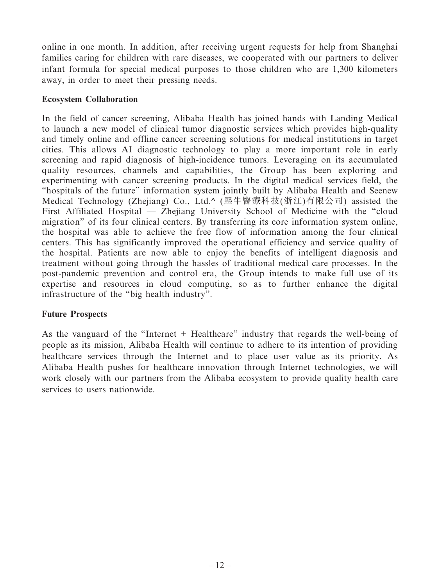online in one month. In addition, after receiving urgent requests for help from Shanghai families caring for children with rare diseases, we cooperated with our partners to deliver infant formula for special medical purposes to those children who are 1,300 kilometers away, in order to meet their pressing needs.

## **Ecosystem Collaboration**

In the field of cancer screening, Alibaba Health has joined hands with Landing Medical to launch a new model of clinical tumor diagnostic services which provides high-quality and timely online and offline cancer screening solutions for medical institutions in target cities. This allows AI diagnostic technology to play a more important role in early screening and rapid diagnosis of high-incidence tumors. Leveraging on its accumulated quality resources, channels and capabilities, the Group has been exploring and experimenting with cancer screening products. In the digital medical services field, the "hospitals of the future" information system jointly built by Alibaba Health and Seenew Medical Technology (Zhejiang) Co., Ltd.^ (熙牛醫療科技(浙江)有限公司) assisted the First Affiliated Hospital — Zhejiang University School of Medicine with the "cloud migration" of its four clinical centers. By transferring its core information system online, the hospital was able to achieve the free flow of information among the four clinical centers. This has significantly improved the operational efficiency and service quality of the hospital. Patients are now able to enjoy the benefits of intelligent diagnosis and treatment without going through the hassles of traditional medical care processes. In the post-pandemic prevention and control era, the Group intends to make full use of its expertise and resources in cloud computing, so as to further enhance the digital infrastructure of the "big health industry".

## **Future Prospects**

As the vanguard of the "Internet + Healthcare" industry that regards the well-being of people as its mission, Alibaba Health will continue to adhere to its intention of providing healthcare services through the Internet and to place user value as its priority. As Alibaba Health pushes for healthcare innovation through Internet technologies, we will work closely with our partners from the Alibaba ecosystem to provide quality health care services to users nationwide.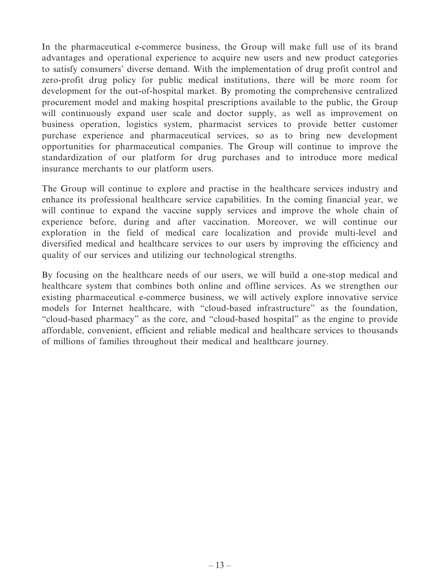In the pharmaceutical e-commerce business, the Group will make full use of its brand advantages and operational experience to acquire new users and new product categories to satisfy consumers' diverse demand. With the implementation of drug profit control and zero-profit drug policy for public medical institutions, there will be more room for development for the out-of-hospital market. By promoting the comprehensive centralized procurement model and making hospital prescriptions available to the public, the Group will continuously expand user scale and doctor supply, as well as improvement on business operation, logistics system, pharmacist services to provide better customer purchase experience and pharmaceutical services, so as to bring new development opportunities for pharmaceutical companies. The Group will continue to improve the standardization of our platform for drug purchases and to introduce more medical insurance merchants to our platform users.

The Group will continue to explore and practise in the healthcare services industry and enhance its professional healthcare service capabilities. In the coming financial year, we will continue to expand the vaccine supply services and improve the whole chain of experience before, during and after vaccination. Moreover, we will continue our exploration in the field of medical care localization and provide multi-level and diversified medical and healthcare services to our users by improving the efficiency and quality of our services and utilizing our technological strengths.

By focusing on the healthcare needs of our users, we will build a one-stop medical and healthcare system that combines both online and offline services. As we strengthen our existing pharmaceutical e-commerce business, we will actively explore innovative service models for Internet healthcare, with "cloud-based infrastructure" as the foundation, "cloud-based pharmacy" as the core, and "cloud-based hospital" as the engine to provide affordable, convenient, efficient and reliable medical and healthcare services to thousands of millions of families throughout their medical and healthcare journey.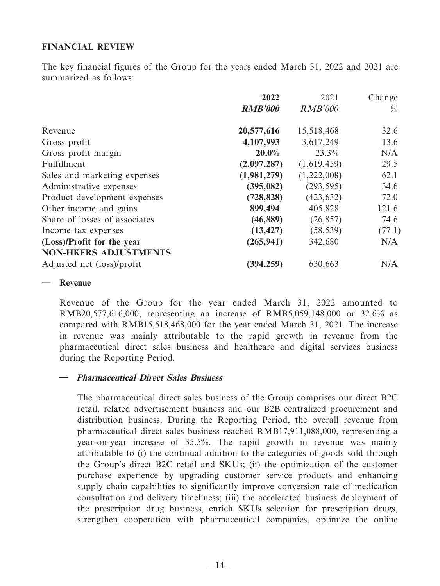## **FINANCIAL REVIEW**

The key financial figures of the Group for the years ended March 31, 2022 and 2021 are summarized as follows:

|                               | 2022           | 2021           | Change |
|-------------------------------|----------------|----------------|--------|
|                               | <b>RMB'000</b> | <b>RMB'000</b> | $\%$   |
| Revenue                       | 20,577,616     | 15,518,468     | 32.6   |
| Gross profit                  | 4,107,993      | 3,617,249      | 13.6   |
| Gross profit margin           | $20.0\%$       | 23.3%          | N/A    |
| Fulfillment                   | (2,097,287)    | (1,619,459)    | 29.5   |
| Sales and marketing expenses  | (1,981,279)    | (1,222,008)    | 62.1   |
| Administrative expenses       | (395, 082)     | (293, 595)     | 34.6   |
| Product development expenses  | (728, 828)     | (423, 632)     | 72.0   |
| Other income and gains        | 899,494        | 405,828        | 121.6  |
| Share of losses of associates | (46, 889)      | (26, 857)      | 74.6   |
| Income tax expenses           | (13, 427)      | (58, 539)      | (77.1) |
| (Loss)/Profit for the year    | (265, 941)     | 342,680        | N/A    |
| <b>NON-HKFRS ADJUSTMENTS</b>  |                |                |        |
| Adjusted net (loss)/profit    | (394, 259)     | 630,663        | N/A    |

### **— Revenue**

Revenue of the Group for the year ended March 31, 2022 amounted to RMB20,577,616,000, representing an increase of RMB5,059,148,000 or 32.6% as compared with RMB15,518,468,000 for the year ended March 31, 2021. The increase in revenue was mainly attributable to the rapid growth in revenue from the pharmaceutical direct sales business and healthcare and digital services business during the Reporting Period.

## **— Pharmaceutical Direct Sales Business**

The pharmaceutical direct sales business of the Group comprises our direct B2C retail, related advertisement business and our B2B centralized procurement and distribution business. During the Reporting Period, the overall revenue from pharmaceutical direct sales business reached RMB17,911,088,000, representing a year-on-year increase of 35.5%. The rapid growth in revenue was mainly attributable to (i) the continual addition to the categories of goods sold through the Group's direct B2C retail and SKUs; (ii) the optimization of the customer purchase experience by upgrading customer service products and enhancing supply chain capabilities to significantly improve conversion rate of medication consultation and delivery timeliness; (iii) the accelerated business deployment of the prescription drug business, enrich SKUs selection for prescription drugs, strengthen cooperation with pharmaceutical companies, optimize the online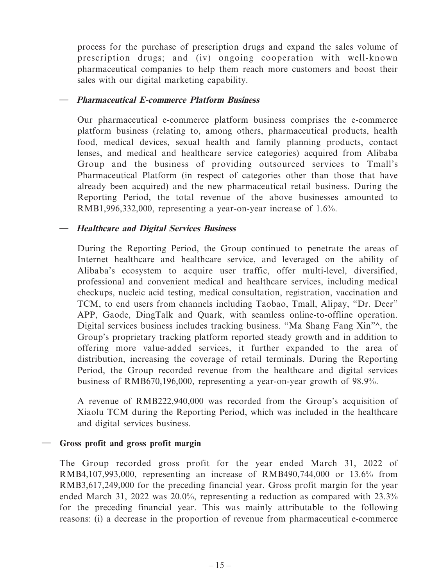process for the purchase of prescription drugs and expand the sales volume of prescription drugs; and (iv) ongoing cooperation with well-known pharmaceutical companies to help them reach more customers and boost their sales with our digital marketing capability.

## **— Pharmaceutical E-commerce Platform Business**

Our pharmaceutical e-commerce platform business comprises the e-commerce platform business (relating to, among others, pharmaceutical products, health food, medical devices, sexual health and family planning products, contact lenses, and medical and healthcare service categories) acquired from Alibaba Group and the business of providing outsourced services to Tmall's Pharmaceutical Platform (in respect of categories other than those that have already been acquired) and the new pharmaceutical retail business. During the Reporting Period, the total revenue of the above businesses amounted to RMB1,996,332,000, representing a year-on-year increase of 1.6%.

## **— Healthcare and Digital Services Business**

During the Reporting Period, the Group continued to penetrate the areas of Internet healthcare and healthcare service, and leveraged on the ability of Alibaba's ecosystem to acquire user traffic, offer multi-level, diversified, professional and convenient medical and healthcare services, including medical checkups, nucleic acid testing, medical consultation, registration, vaccination and TCM, to end users from channels including Taobao, Tmall, Alipay, "Dr. Deer" APP, Gaode, DingTalk and Quark, with seamless online-to-offline operation. Digital services business includes tracking business. "Ma Shang Fang Xin"^, the Group's proprietary tracking platform reported steady growth and in addition to offering more value-added services, it further expanded to the area of distribution, increasing the coverage of retail terminals. During the Reporting Period, the Group recorded revenue from the healthcare and digital services business of RMB670,196,000, representing a year-on-year growth of 98.9%.

A revenue of RMB222,940,000 was recorded from the Group's acquisition of Xiaolu TCM during the Reporting Period, which was included in the healthcare and digital services business.

## **— Gross profit and gross profit margin**

The Group recorded gross profit for the year ended March 31, 2022 of RMB4,107,993,000, representing an increase of RMB490,744,000 or 13.6% from RMB3,617,249,000 for the preceding financial year. Gross profit margin for the year ended March 31, 2022 was 20.0%, representing a reduction as compared with 23.3% for the preceding financial year. This was mainly attributable to the following reasons: (i) a decrease in the proportion of revenue from pharmaceutical e-commerce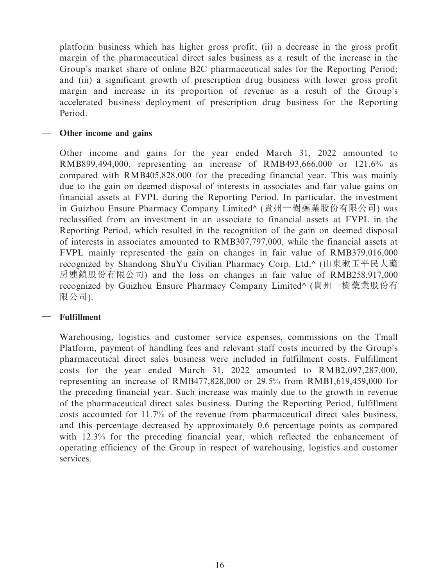platform business which has higher gross profit; (ii) a decrease in the gross profit margin of the pharmaceutical direct sales business as a result of the increase in the Group's market share of online B2C pharmaceutical sales for the Reporting Period; and (iii) a significant growth of prescription drug business with lower gross profit margin and increase in its proportion of revenue as a result of the Group's accelerated business deployment of prescription drug business for the Reporting Period.

## **— Other income and gains**

Other income and gains for the year ended March 31, 2022 amounted to RMB899,494,000, representing an increase of RMB493,666,000 or 121.6% as compared with RMB405,828,000 for the preceding financial year. This was mainly due to the gain on deemed disposal of interests in associates and fair value gains on financial assets at FVPL during the Reporting Period. In particular, the investment in Guizhou Ensure Pharmacy Company Limited^ (貴州一樹藥業股份有限公司) was reclassified from an investment in an associate to financial assets at FVPL in the Reporting Period, which resulted in the recognition of the gain on deemed disposal of interests in associates amounted to RMB307,797,000, while the financial assets at FVPL mainly represented the gain on changes in fair value of RMB379,016,000 recognized by Shandong ShuYu Civilian Pharmacy Corp. Ltd.^ (山東漱玉平民大藥 房連鎖股份有限公司) and the loss on changes in fair value of RMB258,917,000 recognized by Guizhou Ensure Pharmacy Company Limited^ (貴州一樹藥業股份有 限公司).

## **— Fulfillment**

Warehousing, logistics and customer service expenses, commissions on the Tmall Platform, payment of handling fees and relevant staff costs incurred by the Group's pharmaceutical direct sales business were included in fulfillment costs. Fulfillment costs for the year ended March 31, 2022 amounted to RMB2,097,287,000, representing an increase of RMB477,828,000 or 29.5% from RMB1,619,459,000 for the preceding financial year. Such increase was mainly due to the growth in revenue of the pharmaceutical direct sales business. During the Reporting Period, fulfillment costs accounted for 11.7% of the revenue from pharmaceutical direct sales business, and this percentage decreased by approximately 0.6 percentage points as compared with 12.3% for the preceding financial year, which reflected the enhancement of operating efficiency of the Group in respect of warehousing, logistics and customer services.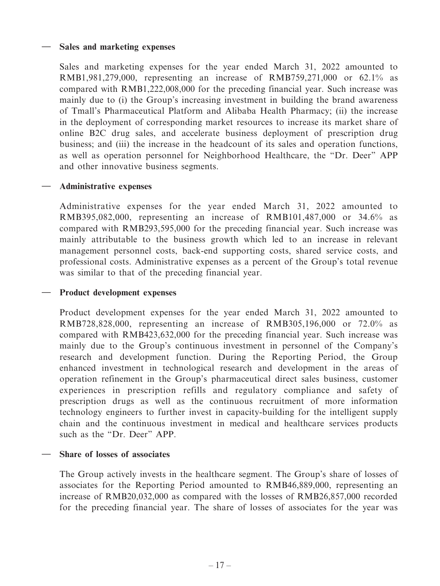## **— Sales and marketing expenses**

Sales and marketing expenses for the year ended March 31, 2022 amounted to RMB1,981,279,000, representing an increase of RMB759,271,000 or 62.1% as compared with RMB1,222,008,000 for the preceding financial year. Such increase was mainly due to (i) the Group's increasing investment in building the brand awareness of Tmall's Pharmaceutical Platform and Alibaba Health Pharmacy; (ii) the increase in the deployment of corresponding market resources to increase its market share of online B2C drug sales, and accelerate business deployment of prescription drug business; and (iii) the increase in the headcount of its sales and operation functions, as well as operation personnel for Neighborhood Healthcare, the "Dr. Deer" APP and other innovative business segments.

## **— Administrative expenses**

Administrative expenses for the year ended March 31, 2022 amounted to RMB395,082,000, representing an increase of RMB101,487,000 or 34.6% as compared with RMB293,595,000 for the preceding financial year. Such increase was mainly attributable to the business growth which led to an increase in relevant management personnel costs, back-end supporting costs, shared service costs, and professional costs. Administrative expenses as a percent of the Group's total revenue was similar to that of the preceding financial year.

### **— Product development expenses**

Product development expenses for the year ended March 31, 2022 amounted to RMB728,828,000, representing an increase of RMB305,196,000 or 72.0% as compared with RMB423,632,000 for the preceding financial year. Such increase was mainly due to the Group's continuous investment in personnel of the Company's research and development function. During the Reporting Period, the Group enhanced investment in technological research and development in the areas of operation refinement in the Group's pharmaceutical direct sales business, customer experiences in prescription refills and regulatory compliance and safety of prescription drugs as well as the continuous recruitment of more information technology engineers to further invest in capacity-building for the intelligent supply chain and the continuous investment in medical and healthcare services products such as the "Dr. Deer" APP.

## **— Share of losses of associates**

The Group actively invests in the healthcare segment. The Group's share of losses of associates for the Reporting Period amounted to RMB46,889,000, representing an increase of RMB20,032,000 as compared with the losses of RMB26,857,000 recorded for the preceding financial year. The share of losses of associates for the year was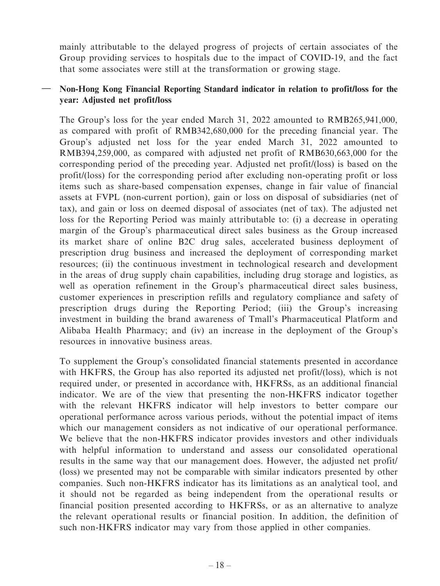mainly attributable to the delayed progress of projects of certain associates of the Group providing services to hospitals due to the impact of COVID-19, and the fact that some associates were still at the transformation or growing stage.

## **— Non-Hong Kong Financial Reporting Standard indicator in relation to profit/loss for the year: Adjusted net profit/loss**

The Group's loss for the year ended March 31, 2022 amounted to RMB265,941,000, as compared with profit of RMB342,680,000 for the preceding financial year. The Group's adjusted net loss for the year ended March 31, 2022 amounted to RMB394,259,000, as compared with adjusted net profit of RMB630,663,000 for the corresponding period of the preceding year. Adjusted net profit/(loss) is based on the profit/(loss) for the corresponding period after excluding non-operating profit or loss items such as share-based compensation expenses, change in fair value of financial assets at FVPL (non-current portion), gain or loss on disposal of subsidiaries (net of tax), and gain or loss on deemed disposal of associates (net of tax). The adjusted net loss for the Reporting Period was mainly attributable to: (i) a decrease in operating margin of the Group's pharmaceutical direct sales business as the Group increased its market share of online B2C drug sales, accelerated business deployment of prescription drug business and increased the deployment of corresponding market resources; (ii) the continuous investment in technological research and development in the areas of drug supply chain capabilities, including drug storage and logistics, as well as operation refinement in the Group's pharmaceutical direct sales business, customer experiences in prescription refills and regulatory compliance and safety of prescription drugs during the Reporting Period; (iii) the Group's increasing investment in building the brand awareness of Tmall's Pharmaceutical Platform and Alibaba Health Pharmacy; and (iv) an increase in the deployment of the Group's resources in innovative business areas.

To supplement the Group's consolidated financial statements presented in accordance with HKFRS, the Group has also reported its adjusted net profit/(loss), which is not required under, or presented in accordance with, HKFRSs, as an additional financial indicator. We are of the view that presenting the non-HKFRS indicator together with the relevant HKFRS indicator will help investors to better compare our operational performance across various periods, without the potential impact of items which our management considers as not indicative of our operational performance. We believe that the non-HKFRS indicator provides investors and other individuals with helpful information to understand and assess our consolidated operational results in the same way that our management does. However, the adjusted net profit/ (loss) we presented may not be comparable with similar indicators presented by other companies. Such non-HKFRS indicator has its limitations as an analytical tool, and it should not be regarded as being independent from the operational results or financial position presented according to HKFRSs, or as an alternative to analyze the relevant operational results or financial position. In addition, the definition of such non-HKFRS indicator may vary from those applied in other companies.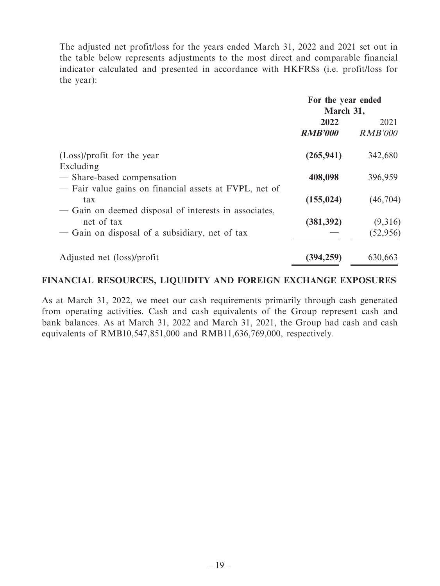The adjusted net profit/loss for the years ended March 31, 2022 and 2021 set out in the table below represents adjustments to the most direct and comparable financial indicator calculated and presented in accordance with HKFRSs (i.e. profit/loss for the year):

|                                                        | For the year ended |                |
|--------------------------------------------------------|--------------------|----------------|
|                                                        | March 31,          |                |
|                                                        | 2022               | 2021           |
|                                                        | <b>RMB'000</b>     | <b>RMB'000</b> |
| (Loss)/profit for the year                             | (265, 941)         | 342,680        |
| Excluding                                              |                    |                |
| - Share-based compensation                             | 408,098            | 396,959        |
| - Fair value gains on financial assets at FVPL, net of |                    |                |
| tax                                                    | (155, 024)         | (46,704)       |
| — Gain on deemed disposal of interests in associates,  |                    |                |
| net of tax                                             | (381, 392)         | (9,316)        |
| — Gain on disposal of a subsidiary, net of tax         |                    | (52, 956)      |
| Adjusted net (loss)/profit                             | (394, 259)         | 630,663        |

## **FINANCIAL RESOURCES, LIQUIDITY AND FOREIGN EXCHANGE EXPOSURES**

As at March 31, 2022, we meet our cash requirements primarily through cash generated from operating activities. Cash and cash equivalents of the Group represent cash and bank balances. As at March 31, 2022 and March 31, 2021, the Group had cash and cash equivalents of RMB10,547,851,000 and RMB11,636,769,000, respectively.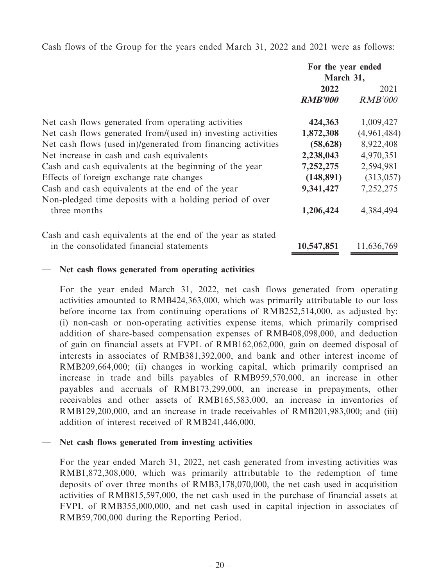Cash flows of the Group for the years ended March 31, 2022 and 2021 were as follows:

|                                                                                                             | For the year ended<br>March 31, |                        |
|-------------------------------------------------------------------------------------------------------------|---------------------------------|------------------------|
|                                                                                                             | 2022<br><b>RMB'000</b>          | 2021<br><b>RMB'000</b> |
| Net cash flows generated from operating activities                                                          | 424,363                         | 1,009,427              |
| Net cash flows generated from/(used in) investing activities                                                | 1,872,308                       | (4,961,484)            |
| Net cash flows (used in)/generated from financing activities                                                | (58, 628)                       | 8,922,408              |
| Net increase in cash and cash equivalents                                                                   | 2,238,043                       | 4,970,351              |
| Cash and cash equivalents at the beginning of the year                                                      | 7,252,275                       | 2,594,981              |
| Effects of foreign exchange rate changes                                                                    | (148, 891)                      | (313, 057)             |
| Cash and cash equivalents at the end of the year<br>Non-pledged time deposits with a holding period of over | 9,341,427                       | 7,252,275              |
| three months                                                                                                | 1,206,424                       | 4,384,494              |
| Cash and cash equivalents at the end of the year as stated                                                  |                                 |                        |
| in the consolidated financial statements                                                                    | 10,547,851                      | 11,636,769             |

## **— Net cash flows generated from operating activities**

For the year ended March 31, 2022, net cash flows generated from operating activities amounted to RMB424,363,000, which was primarily attributable to our loss before income tax from continuing operations of RMB252,514,000, as adjusted by: (i) non-cash or non-operating activities expense items, which primarily comprised addition of share-based compensation expenses of RMB408,098,000, and deduction of gain on financial assets at FVPL of RMB162,062,000, gain on deemed disposal of interests in associates of RMB381,392,000, and bank and other interest income of RMB209,664,000; (ii) changes in working capital, which primarily comprised an increase in trade and bills payables of RMB959,570,000, an increase in other payables and accruals of RMB173,299,000, an increase in prepayments, other receivables and other assets of RMB165,583,000, an increase in inventories of RMB129,200,000, and an increase in trade receivables of RMB201,983,000; and (iii) addition of interest received of RMB241,446,000.

## **— Net cash flows generated from investing activities**

For the year ended March 31, 2022, net cash generated from investing activities was RMB1,872,308,000, which was primarily attributable to the redemption of time deposits of over three months of RMB3,178,070,000, the net cash used in acquisition activities of RMB815,597,000, the net cash used in the purchase of financial assets at FVPL of RMB355,000,000, and net cash used in capital injection in associates of RMB59,700,000 during the Reporting Period.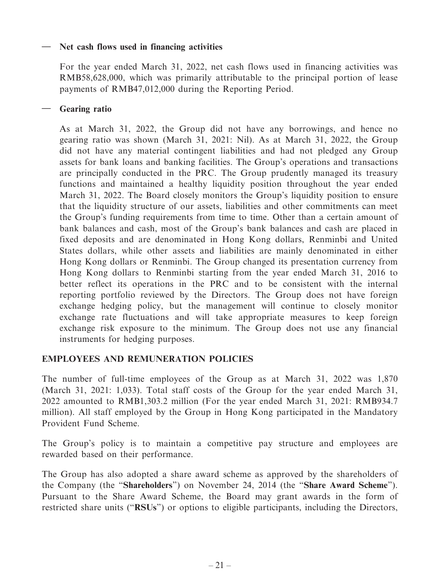## **— Net cash flows used in financing activities**

For the year ended March 31, 2022, net cash flows used in financing activities was RMB58,628,000, which was primarily attributable to the principal portion of lease payments of RMB47,012,000 during the Reporting Period.

## **— Gearing ratio**

As at March 31, 2022, the Group did not have any borrowings, and hence no gearing ratio was shown (March 31, 2021: Nil). As at March 31, 2022, the Group did not have any material contingent liabilities and had not pledged any Group assets for bank loans and banking facilities. The Group's operations and transactions are principally conducted in the PRC. The Group prudently managed its treasury functions and maintained a healthy liquidity position throughout the year ended March 31, 2022. The Board closely monitors the Group's liquidity position to ensure that the liquidity structure of our assets, liabilities and other commitments can meet the Group's funding requirements from time to time. Other than a certain amount of bank balances and cash, most of the Group's bank balances and cash are placed in fixed deposits and are denominated in Hong Kong dollars, Renminbi and United States dollars, while other assets and liabilities are mainly denominated in either Hong Kong dollars or Renminbi. The Group changed its presentation currency from Hong Kong dollars to Renminbi starting from the year ended March 31, 2016 to better reflect its operations in the PRC and to be consistent with the internal reporting portfolio reviewed by the Directors. The Group does not have foreign exchange hedging policy, but the management will continue to closely monitor exchange rate fluctuations and will take appropriate measures to keep foreign exchange risk exposure to the minimum. The Group does not use any financial instruments for hedging purposes.

## **EMPLOYEES AND REMUNERATION POLICIES**

The number of full-time employees of the Group as at March 31, 2022 was 1,870 (March 31, 2021: 1,033). Total staff costs of the Group for the year ended March 31, 2022 amounted to RMB1,303.2 million (For the year ended March 31, 2021: RMB934.7 million). All staff employed by the Group in Hong Kong participated in the Mandatory Provident Fund Scheme.

The Group's policy is to maintain a competitive pay structure and employees are rewarded based on their performance.

The Group has also adopted a share award scheme as approved by the shareholders of the Company (the "**Shareholders**") on November 24, 2014 (the "**Share Award Scheme**"). Pursuant to the Share Award Scheme, the Board may grant awards in the form of restricted share units ("**RSUs**") or options to eligible participants, including the Directors,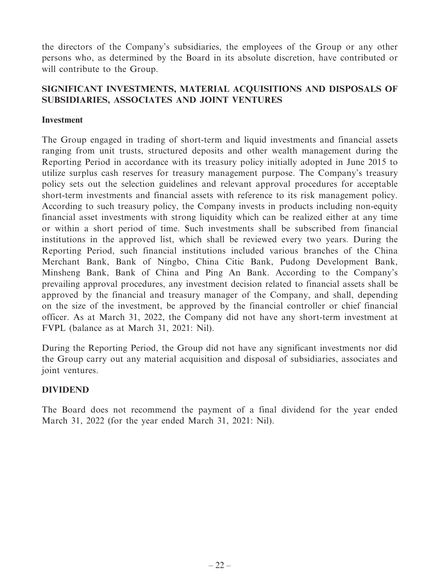the directors of the Company's subsidiaries, the employees of the Group or any other persons who, as determined by the Board in its absolute discretion, have contributed or will contribute to the Group.

## **SIGNIFICANT INVESTMENTS, MATERIAL ACQUISITIONS AND DISPOSALS OF SUBSIDIARIES, ASSOCIATES AND JOINT VENTURES**

## **Investment**

The Group engaged in trading of short-term and liquid investments and financial assets ranging from unit trusts, structured deposits and other wealth management during the Reporting Period in accordance with its treasury policy initially adopted in June 2015 to utilize surplus cash reserves for treasury management purpose. The Company's treasury policy sets out the selection guidelines and relevant approval procedures for acceptable short-term investments and financial assets with reference to its risk management policy. According to such treasury policy, the Company invests in products including non-equity financial asset investments with strong liquidity which can be realized either at any time or within a short period of time. Such investments shall be subscribed from financial institutions in the approved list, which shall be reviewed every two years. During the Reporting Period, such financial institutions included various branches of the China Merchant Bank, Bank of Ningbo, China Citic Bank, Pudong Development Bank, Minsheng Bank, Bank of China and Ping An Bank. According to the Company's prevailing approval procedures, any investment decision related to financial assets shall be approved by the financial and treasury manager of the Company, and shall, depending on the size of the investment, be approved by the financial controller or chief financial officer. As at March 31, 2022, the Company did not have any short-term investment at FVPL (balance as at March 31, 2021: Nil).

During the Reporting Period, the Group did not have any significant investments nor did the Group carry out any material acquisition and disposal of subsidiaries, associates and joint ventures.

## **DIVIDEND**

The Board does not recommend the payment of a final dividend for the year ended March 31, 2022 (for the year ended March 31, 2021: Nil).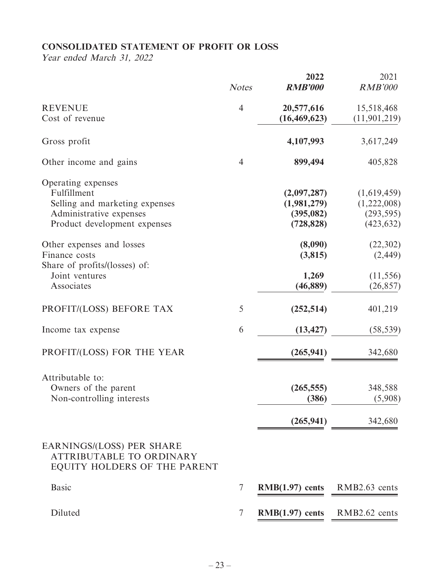## **CONSOLIDATED STATEMENT OF PROFIT OR LOSS**

Year ended March 31, 2022

|                                                                                                                                | <b>Notes</b>   | 2022<br><b>RMB'000</b>                                 | 2021<br><b>RMB'000</b>                                 |
|--------------------------------------------------------------------------------------------------------------------------------|----------------|--------------------------------------------------------|--------------------------------------------------------|
| <b>REVENUE</b><br>Cost of revenue                                                                                              | $\overline{4}$ | 20,577,616<br>(16, 469, 623)                           | 15,518,468<br>(11, 901, 219)                           |
| Gross profit                                                                                                                   |                | 4,107,993                                              | 3,617,249                                              |
| Other income and gains                                                                                                         | $\overline{4}$ | 899,494                                                | 405,828                                                |
| Operating expenses<br>Fulfillment<br>Selling and marketing expenses<br>Administrative expenses<br>Product development expenses |                | (2,097,287)<br>(1,981,279)<br>(395, 082)<br>(728, 828) | (1,619,459)<br>(1,222,008)<br>(293, 595)<br>(423, 632) |
| Other expenses and losses<br>Finance costs<br>Share of profits/(losses) of:                                                    |                | (8,090)<br>(3,815)                                     | (22, 302)<br>(2, 449)                                  |
| Joint ventures<br>Associates                                                                                                   |                | 1,269<br>(46, 889)                                     | (11, 556)<br>(26, 857)                                 |
| PROFIT/(LOSS) BEFORE TAX                                                                                                       | 5              | (252, 514)                                             | 401,219                                                |
| Income tax expense                                                                                                             | 6              | (13, 427)                                              | (58, 539)                                              |
| PROFIT/(LOSS) FOR THE YEAR                                                                                                     |                | (265, 941)                                             | 342,680                                                |
| Attributable to:<br>Owners of the parent<br>Non-controlling interests                                                          |                | (265, 555)<br>(386)<br>(265, 941)                      | 348,588<br>(5,908)<br>342,680                          |
| EARNINGS/(LOSS) PER SHARE<br><b>ATTRIBUTABLE TO ORDINARY</b><br>EQUITY HOLDERS OF THE PARENT                                   |                |                                                        |                                                        |
| <b>Basic</b>                                                                                                                   | 7              | $RMB(1.97)$ cents                                      | RMB2.63 cents                                          |
| Diluted                                                                                                                        | 7              | $RMB(1.97)$ cents                                      | RMB2.62 cents                                          |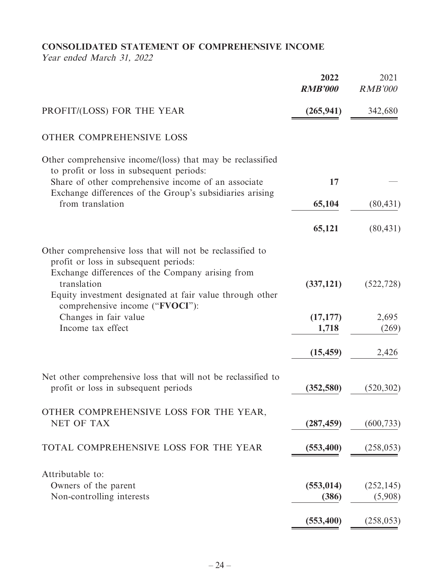## **CONSOLIDATED STATEMENT OF COMPREHENSIVE INCOME**

Year ended March 31, 2022

|                                                                                                                                                                                                                                                                      | 2022<br><b>RMB'000</b> | 2021<br><b>RMB'000</b> |
|----------------------------------------------------------------------------------------------------------------------------------------------------------------------------------------------------------------------------------------------------------------------|------------------------|------------------------|
| PROFIT/(LOSS) FOR THE YEAR                                                                                                                                                                                                                                           | (265, 941)             | 342,680                |
| OTHER COMPREHENSIVE LOSS                                                                                                                                                                                                                                             |                        |                        |
| Other comprehensive income/(loss) that may be reclassified<br>to profit or loss in subsequent periods:<br>Share of other comprehensive income of an associate                                                                                                        | 17                     |                        |
| Exchange differences of the Group's subsidiaries arising                                                                                                                                                                                                             |                        |                        |
| from translation                                                                                                                                                                                                                                                     | 65,104                 | (80, 431)              |
|                                                                                                                                                                                                                                                                      | 65,121                 | (80, 431)              |
| Other comprehensive loss that will not be reclassified to<br>profit or loss in subsequent periods:<br>Exchange differences of the Company arising from<br>translation<br>Equity investment designated at fair value through other<br>comprehensive income ("FVOCI"): | (337, 121)             | (522, 728)             |
| Changes in fair value                                                                                                                                                                                                                                                | (17, 177)              | 2,695                  |
| Income tax effect                                                                                                                                                                                                                                                    | 1,718                  | (269)                  |
|                                                                                                                                                                                                                                                                      | (15, 459)              | 2,426                  |
| Net other comprehensive loss that will not be reclassified to<br>profit or loss in subsequent periods                                                                                                                                                                | (352, 580)             | (520, 302)             |
| OTHER COMPREHENSIVE LOSS FOR THE YEAR,<br>NET OF TAX                                                                                                                                                                                                                 | (287, 459)             | (600, 733)             |
| TOTAL COMPREHENSIVE LOSS FOR THE YEAR                                                                                                                                                                                                                                | (553, 400)             | (258, 053)             |
| Attributable to:<br>Owners of the parent<br>Non-controlling interests                                                                                                                                                                                                | (553, 014)<br>(386)    | (252, 145)<br>(5,908)  |
|                                                                                                                                                                                                                                                                      | (553, 400)             | (258, 053)             |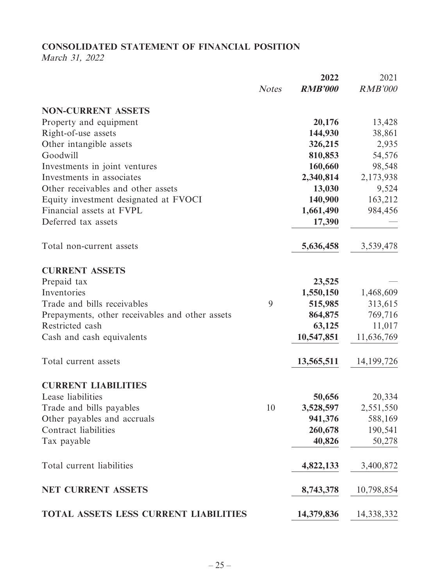## **CONSOLIDATED STATEMENT OF FINANCIAL POSITION**

March 31, 2022

|                                                 |              | 2022           | 2021           |
|-------------------------------------------------|--------------|----------------|----------------|
|                                                 | <b>Notes</b> | <b>RMB'000</b> | <b>RMB'000</b> |
| <b>NON-CURRENT ASSETS</b>                       |              |                |                |
| Property and equipment                          |              | 20,176         | 13,428         |
| Right-of-use assets                             |              | 144,930        | 38,861         |
| Other intangible assets                         |              | 326,215        | 2,935          |
| Goodwill                                        |              | 810,853        | 54,576         |
| Investments in joint ventures                   |              | 160,660        | 98,548         |
| Investments in associates                       |              | 2,340,814      | 2,173,938      |
| Other receivables and other assets              |              | 13,030         | 9,524          |
| Equity investment designated at FVOCI           |              | 140,900        | 163,212        |
| Financial assets at FVPL                        |              | 1,661,490      | 984,456        |
| Deferred tax assets                             |              | 17,390         |                |
| Total non-current assets                        |              | 5,636,458      | 3,539,478      |
| <b>CURRENT ASSETS</b>                           |              |                |                |
| Prepaid tax                                     |              | 23,525         |                |
| Inventories                                     |              | 1,550,150      | 1,468,609      |
| Trade and bills receivables                     | 9            | 515,985        | 313,615        |
| Prepayments, other receivables and other assets |              | 864,875        | 769,716        |
| Restricted cash                                 |              | 63,125         | 11,017         |
| Cash and cash equivalents                       |              | 10,547,851     | 11,636,769     |
| Total current assets                            |              | 13,565,511     | 14, 199, 726   |
| <b>CURRENT LIABILITIES</b>                      |              |                |                |
| Lease liabilities                               |              | 50,656         | 20,334         |
| Trade and bills payables                        | 10           | 3,528,597      | 2,551,550      |
| Other payables and accruals                     |              | 941,376        | 588,169        |
| Contract liabilities                            |              | 260,678        | 190,541        |
| Tax payable                                     |              | 40,826         | 50,278         |
| Total current liabilities                       |              | 4,822,133      | 3,400,872      |
| <b>NET CURRENT ASSETS</b>                       |              | 8,743,378      | 10,798,854     |
| <b>TOTAL ASSETS LESS CURRENT LIABILITIES</b>    |              | 14,379,836     | 14,338,332     |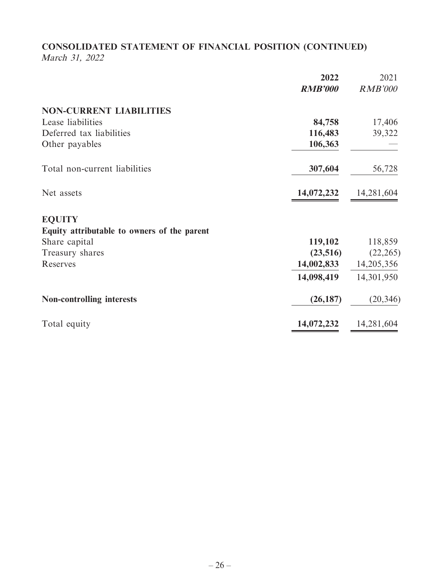## **CONSOLIDATED STATEMENT OF FINANCIAL POSITION (CONTINUED)** March 31, 2022

|                                             | 2022           | 2021           |
|---------------------------------------------|----------------|----------------|
|                                             | <b>RMB'000</b> | <b>RMB'000</b> |
| <b>NON-CURRENT LIABILITIES</b>              |                |                |
| Lease liabilities                           | 84,758         | 17,406         |
| Deferred tax liabilities                    | 116,483        | 39,322         |
| Other payables                              | 106,363        |                |
| Total non-current liabilities               | 307,604        | 56,728         |
| Net assets                                  | 14,072,232     | 14,281,604     |
| <b>EQUITY</b>                               |                |                |
| Equity attributable to owners of the parent |                |                |
| Share capital                               | 119,102        | 118,859        |
| Treasury shares                             | (23,516)       | (22, 265)      |
| Reserves                                    | 14,002,833     | 14,205,356     |
|                                             | 14,098,419     | 14,301,950     |
| <b>Non-controlling interests</b>            | (26, 187)      | (20, 346)      |
| Total equity                                | 14,072,232     | 14,281,604     |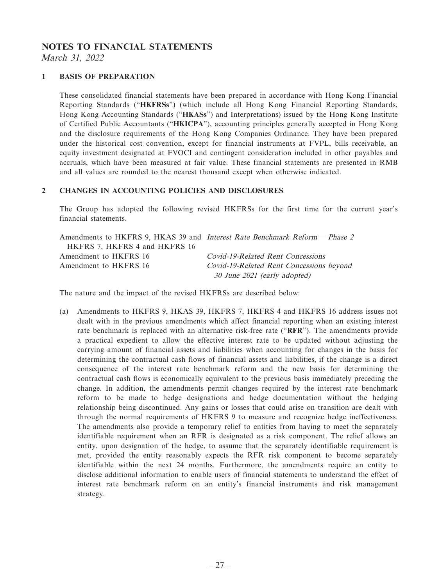# **NOTES TO FINANCIAL STATEMENTS**

March 31, 2022

### **1 BASIS OF PREPARATION**

These consolidated financial statements have been prepared in accordance with Hong Kong Financial Reporting Standards ("**HKFRSs**") (which include all Hong Kong Financial Reporting Standards, Hong Kong Accounting Standards ("**HKASs**") and Interpretations) issued by the Hong Kong Institute of Certified Public Accountants ("**HKICPA**"), accounting principles generally accepted in Hong Kong and the disclosure requirements of the Hong Kong Companies Ordinance. They have been prepared under the historical cost convention, except for financial instruments at FVPL, bills receivable, an equity investment designated at FVOCI and contingent consideration included in other payables and accruals, which have been measured at fair value. These financial statements are presented in RMB and all values are rounded to the nearest thousand except when otherwise indicated.

### **2 CHANGES IN ACCOUNTING POLICIES AND DISCLOSURES**

The Group has adopted the following revised HKFRSs for the first time for the current year's financial statements.

|                               | Amendments to HKFRS 9, HKAS 39 and <i>Interest Rate Benchmark Reform— Phase 2</i> |
|-------------------------------|-----------------------------------------------------------------------------------|
| HKFRS 7, HKFRS 4 and HKFRS 16 |                                                                                   |
| Amendment to HKFRS 16         | Covid-19-Related Rent Concessions                                                 |
| Amendment to HKFRS 16         | Covid-19-Related Rent Concessions beyond                                          |
|                               | 30 June 2021 (early adopted)                                                      |

The nature and the impact of the revised HKFRSs are described below:

(a) Amendments to HKFRS 9, HKAS 39, HKFRS 7, HKFRS 4 and HKFRS 16 address issues not dealt with in the previous amendments which affect financial reporting when an existing interest rate benchmark is replaced with an alternative risk-free rate ("**RFR**"). The amendments provide a practical expedient to allow the effective interest rate to be updated without adjusting the carrying amount of financial assets and liabilities when accounting for changes in the basis for determining the contractual cash flows of financial assets and liabilities, if the change is a direct consequence of the interest rate benchmark reform and the new basis for determining the contractual cash flows is economically equivalent to the previous basis immediately preceding the change. In addition, the amendments permit changes required by the interest rate benchmark reform to be made to hedge designations and hedge documentation without the hedging relationship being discontinued. Any gains or losses that could arise on transition are dealt with through the normal requirements of HKFRS 9 to measure and recognize hedge ineffectiveness. The amendments also provide a temporary relief to entities from having to meet the separately identifiable requirement when an RFR is designated as a risk component. The relief allows an entity, upon designation of the hedge, to assume that the separately identifiable requirement is met, provided the entity reasonably expects the RFR risk component to become separately identifiable within the next 24 months. Furthermore, the amendments require an entity to disclose additional information to enable users of financial statements to understand the effect of interest rate benchmark reform on an entity's financial instruments and risk management strategy.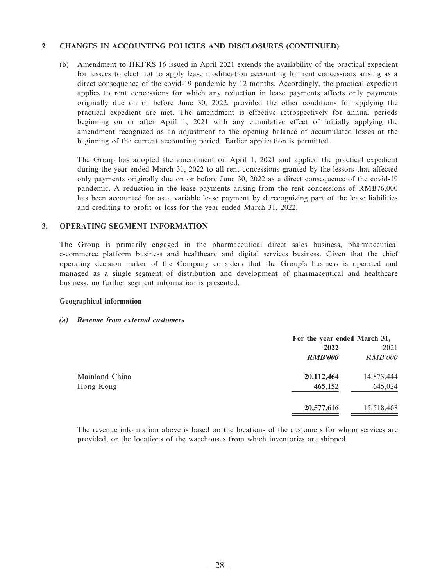### **2 CHANGES IN ACCOUNTING POLICIES AND DISCLOSURES (CONTINUED)**

(b) Amendment to HKFRS 16 issued in April 2021 extends the availability of the practical expedient for lessees to elect not to apply lease modification accounting for rent concessions arising as a direct consequence of the covid-19 pandemic by 12 months. Accordingly, the practical expedient applies to rent concessions for which any reduction in lease payments affects only payments originally due on or before June 30, 2022, provided the other conditions for applying the practical expedient are met. The amendment is effective retrospectively for annual periods beginning on or after April 1, 2021 with any cumulative effect of initially applying the amendment recognized as an adjustment to the opening balance of accumulated losses at the beginning of the current accounting period. Earlier application is permitted.

The Group has adopted the amendment on April 1, 2021 and applied the practical expedient during the year ended March 31, 2022 to all rent concessions granted by the lessors that affected only payments originally due on or before June 30, 2022 as a direct consequence of the covid-19 pandemic. A reduction in the lease payments arising from the rent concessions of RMB76,000 has been accounted for as a variable lease payment by derecognizing part of the lease liabilities and crediting to profit or loss for the year ended March 31, 2022.

### **3. OPERATING SEGMENT INFORMATION**

The Group is primarily engaged in the pharmaceutical direct sales business, pharmaceutical e-commerce platform business and healthcare and digital services business. Given that the chief operating decision maker of the Company considers that the Group's business is operated and managed as a single segment of distribution and development of pharmaceutical and healthcare business, no further segment information is presented.

### **Geographical information**

### **(a) Revenue from external customers**

|                | For the year ended March 31, |                |
|----------------|------------------------------|----------------|
|                | 2022                         | 2021           |
|                | <b>RMB'000</b>               | <b>RMB'000</b> |
| Mainland China | 20,112,464                   | 14,873,444     |
| Hong Kong      | 465,152                      | 645,024        |
|                | 20,577,616                   | 15,518,468     |

The revenue information above is based on the locations of the customers for whom services are provided, or the locations of the warehouses from which inventories are shipped.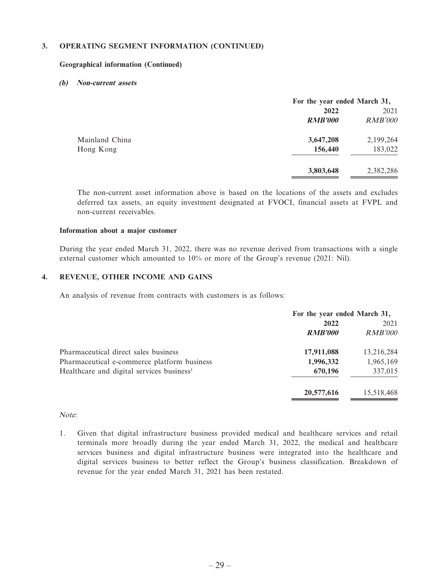### **3. OPERATING SEGMENT INFORMATION (CONTINUED)**

#### **Geographical information (Continued)**

### **(b) Non-current assets**

|                |                | For the year ended March 31, |  |
|----------------|----------------|------------------------------|--|
|                | 2022           | 2021                         |  |
|                | <b>RMB'000</b> | <b>RMB'000</b>               |  |
| Mainland China | 3,647,208      | 2,199,264                    |  |
| Hong Kong      | 156,440        | 183,022                      |  |
|                | 3,803,648      | 2,382,286                    |  |

The non-current asset information above is based on the locations of the assets and excludes deferred tax assets, an equity investment designated at FVOCI, financial assets at FVPL and non-current receivables.

#### **Information about a major customer**

During the year ended March 31, 2022, there was no revenue derived from transactions with a single external customer which amounted to 10% or more of the Group's revenue (2021: Nil).

### **4. REVENUE, OTHER INCOME AND GAINS**

An analysis of revenue from contracts with customers is as follows:

|                                                       | For the year ended March 31, |            |
|-------------------------------------------------------|------------------------------|------------|
|                                                       | 2022                         | 2021       |
|                                                       | <b>RMB'000</b>               | RMB'000    |
| Pharmaceutical direct sales business                  | 17,911,088                   | 13,216,284 |
| Pharmaceutical e-commerce platform business           | 1,996,332                    | 1,965,169  |
| Healthcare and digital services business <sup>1</sup> | 670,196                      | 337,015    |
|                                                       | 20,577,616                   | 15,518,468 |

### Note:

1. Given that digital infrastructure business provided medical and healthcare services and retail terminals more broadly during the year ended March 31, 2022, the medical and healthcare services business and digital infrastructure business were integrated into the healthcare and digital services business to better reflect the Group's business classification. Breakdown of revenue for the year ended March 31, 2021 has been restated.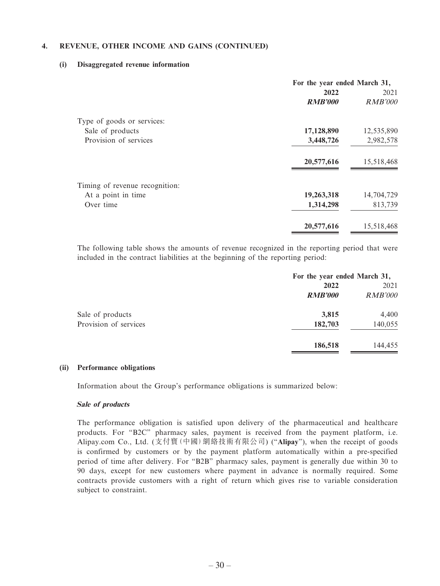### **4. REVENUE, OTHER INCOME AND GAINS (CONTINUED)**

#### **(i) Disaggregated revenue information**

|                                | For the year ended March 31, |                |
|--------------------------------|------------------------------|----------------|
|                                | 2022                         | 2021           |
|                                | <b>RMB'000</b>               | <i>RMB'000</i> |
| Type of goods or services:     |                              |                |
| Sale of products               | 17,128,890                   | 12,535,890     |
| Provision of services          | 3,448,726                    | 2,982,578      |
|                                | 20,577,616                   | 15,518,468     |
| Timing of revenue recognition: |                              |                |
| At a point in time             | 19,263,318                   | 14,704,729     |
| Over time                      | 1,314,298                    | 813,739        |
|                                | 20,577,616                   | 15,518,468     |
|                                |                              |                |

The following table shows the amounts of revenue recognized in the reporting period that were included in the contract liabilities at the beginning of the reporting period:

|                       | For the year ended March 31, |                |
|-----------------------|------------------------------|----------------|
|                       | 2022                         | 2021           |
|                       | <b>RMB'000</b>               | <i>RMB'000</i> |
| Sale of products      | 3,815                        | 4,400          |
| Provision of services | 182,703                      | 140,055        |
|                       | 186,518                      | 144,455        |

#### **(ii) Performance obligations**

Information about the Group's performance obligations is summarized below:

#### **Sale of products**

The performance obligation is satisfied upon delivery of the pharmaceutical and healthcare products. For "B2C" pharmacy sales, payment is received from the payment platform, i.e. Alipay.com Co., Ltd. (支付寶(中國)網絡技術有限公司) ("**Alipay**"), when the receipt of goods is confirmed by customers or by the payment platform automatically within a pre-specified period of time after delivery. For "B2B" pharmacy sales, payment is generally due within 30 to 90 days, except for new customers where payment in advance is normally required. Some contracts provide customers with a right of return which gives rise to variable consideration subject to constraint.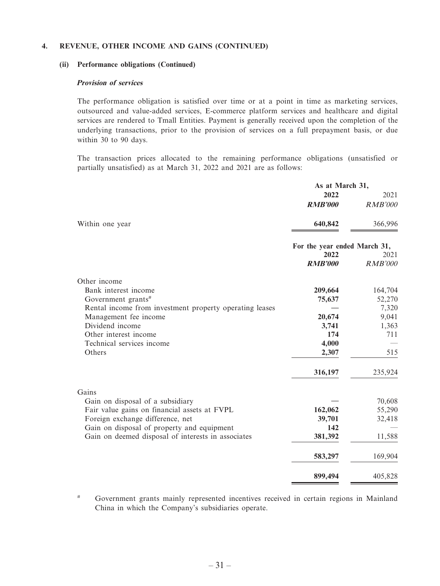### **4. REVENUE, OTHER INCOME AND GAINS (CONTINUED)**

#### **(ii) Performance obligations (Continued)**

### **Provision of services**

The performance obligation is satisfied over time or at a point in time as marketing services, outsourced and value-added services, E-commerce platform services and healthcare and digital services are rendered to Tmall Entities. Payment is generally received upon the completion of the underlying transactions, prior to the provision of services on a full prepayment basis, or due within 30 to 90 days.

The transaction prices allocated to the remaining performance obligations (unsatisfied or partially unsatisfied) as at March 31, 2022 and 2021 are as follows:

|                                                         | As at March 31,              |                |
|---------------------------------------------------------|------------------------------|----------------|
|                                                         | 2022                         | 2021           |
|                                                         | <b>RMB'000</b>               | <b>RMB'000</b> |
| Within one year                                         | 640,842                      | 366,996        |
|                                                         | For the year ended March 31, |                |
|                                                         | 2022                         | 2021           |
|                                                         | <b>RMB'000</b>               | <b>RMB'000</b> |
| Other income                                            |                              |                |
| Bank interest income                                    | 209,664                      | 164,704        |
| Government grants#                                      | 75,637                       | 52,270         |
| Rental income from investment property operating leases |                              | 7,320          |
| Management fee income                                   | 20,674                       | 9,041          |
| Dividend income                                         | 3,741                        | 1,363          |
| Other interest income                                   | 174                          | 711            |
| Technical services income                               | 4,000                        |                |
| Others                                                  | 2,307                        | 515            |
|                                                         | 316,197                      | 235,924        |
| Gains                                                   |                              |                |
| Gain on disposal of a subsidiary                        |                              | 70,608         |
| Fair value gains on financial assets at FVPL            | 162,062                      | 55,290         |
| Foreign exchange difference, net                        | 39,701                       | 32,418         |
| Gain on disposal of property and equipment              | 142                          |                |
| Gain on deemed disposal of interests in associates      | 381,392                      | 11,588         |
|                                                         | 583,297                      | 169,904        |
|                                                         | 899,494                      | 405,828        |

# Government grants mainly represented incentives received in certain regions in Mainland China in which the Company's subsidiaries operate.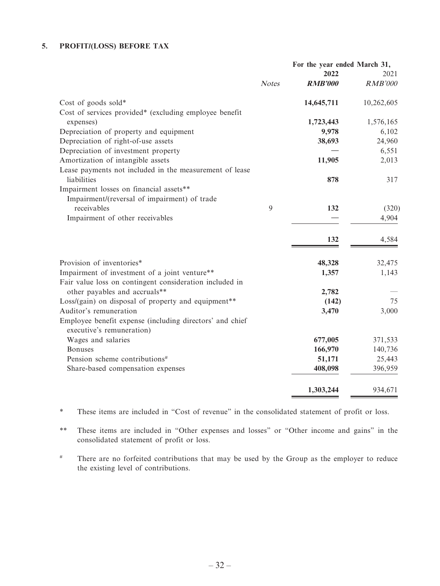## **5. PROFIT/(LOSS) BEFORE TAX**

|                                                          | For the year ended March 31, |                |                |
|----------------------------------------------------------|------------------------------|----------------|----------------|
|                                                          |                              | 2022           | 2021           |
|                                                          | <b>Notes</b>                 | <b>RMB'000</b> | <b>RMB'000</b> |
| Cost of goods sold*                                      |                              | 14,645,711     | 10,262,605     |
| Cost of services provided* (excluding employee benefit   |                              |                |                |
| expenses)                                                |                              | 1,723,443      | 1,576,165      |
| Depreciation of property and equipment                   |                              | 9,978          | 6,102          |
| Depreciation of right-of-use assets                      |                              | 38,693         | 24,960         |
| Depreciation of investment property                      |                              |                | 6,551          |
| Amortization of intangible assets                        |                              | 11,905         | 2,013          |
| Lease payments not included in the measurement of lease  |                              |                |                |
| liabilities                                              |                              | 878            | 317            |
| Impairment losses on financial assets**                  |                              |                |                |
| Impairment/(reversal of impairment) of trade             |                              |                |                |
| receivables                                              | 9                            | 132            | (320)          |
| Impairment of other receivables                          |                              |                | 4,904          |
|                                                          |                              | 132            | 4,584          |
| Provision of inventories*                                |                              | 48,328         | 32,475         |
| Impairment of investment of a joint venture**            |                              | 1,357          | 1,143          |
| Fair value loss on contingent consideration included in  |                              |                |                |
| other payables and accruals**                            |                              | 2,782          |                |
| Loss/(gain) on disposal of property and equipment**      |                              | (142)          | 75             |
| Auditor's remuneration                                   |                              | 3,470          | 3,000          |
| Employee benefit expense (including directors' and chief |                              |                |                |
| executive's remuneration)                                |                              |                |                |
| Wages and salaries                                       |                              | 677,005        | 371,533        |
| <b>Bonuses</b>                                           |                              | 166,970        | 140,736        |
| Pension scheme contributions <sup>#</sup>                |                              | 51,171         | 25,443         |
| Share-based compensation expenses                        |                              | 408,098        | 396,959        |
|                                                          |                              |                |                |
|                                                          |                              | 1,303,244      | 934,671        |

\* These items are included in "Cost of revenue" in the consolidated statement of profit or loss.

\*\* These items are included in "Other expenses and losses" or "Other income and gains" in the consolidated statement of profit or loss.

# There are no forfeited contributions that may be used by the Group as the employer to reduce the existing level of contributions.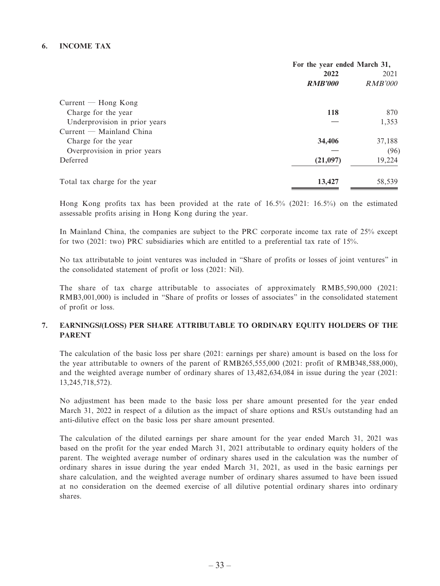### **6. INCOME TAX**

|                               | For the year ended March 31, |         |
|-------------------------------|------------------------------|---------|
|                               | 2022                         | 2021    |
|                               | <b>RMB'000</b>               | RMB'000 |
| $Current - Hong Kong$         |                              |         |
| Charge for the year           | 118                          | 870     |
| Underprovision in prior years |                              | 1,353   |
| $Current$ – Mainland China    |                              |         |
| Charge for the year           | 34,406                       | 37,188  |
| Overprovision in prior years  |                              | (96)    |
| Deferred                      | (21,097)                     | 19,224  |
| Total tax charge for the year | 13,427                       | 58,539  |

Hong Kong profits tax has been provided at the rate of 16.5% (2021: 16.5%) on the estimated assessable profits arising in Hong Kong during the year.

In Mainland China, the companies are subject to the PRC corporate income tax rate of 25% except for two (2021: two) PRC subsidiaries which are entitled to a preferential tax rate of 15%.

No tax attributable to joint ventures was included in "Share of profits or losses of joint ventures" in the consolidated statement of profit or loss (2021: Nil).

The share of tax charge attributable to associates of approximately RMB5,590,000 (2021: RMB3,001,000) is included in "Share of profits or losses of associates" in the consolidated statement of profit or loss.

### **7. EARNINGS/(LOSS) PER SHARE ATTRIBUTABLE TO ORDINARY EQUITY HOLDERS OF THE PARENT**

The calculation of the basic loss per share (2021: earnings per share) amount is based on the loss for the year attributable to owners of the parent of RMB265,555,000 (2021: profit of RMB348,588,000), and the weighted average number of ordinary shares of 13,482,634,084 in issue during the year (2021: 13,245,718,572).

No adjustment has been made to the basic loss per share amount presented for the year ended March 31, 2022 in respect of a dilution as the impact of share options and RSUs outstanding had an anti-dilutive effect on the basic loss per share amount presented.

The calculation of the diluted earnings per share amount for the year ended March 31, 2021 was based on the profit for the year ended March 31, 2021 attributable to ordinary equity holders of the parent. The weighted average number of ordinary shares used in the calculation was the number of ordinary shares in issue during the year ended March 31, 2021, as used in the basic earnings per share calculation, and the weighted average number of ordinary shares assumed to have been issued at no consideration on the deemed exercise of all dilutive potential ordinary shares into ordinary shares.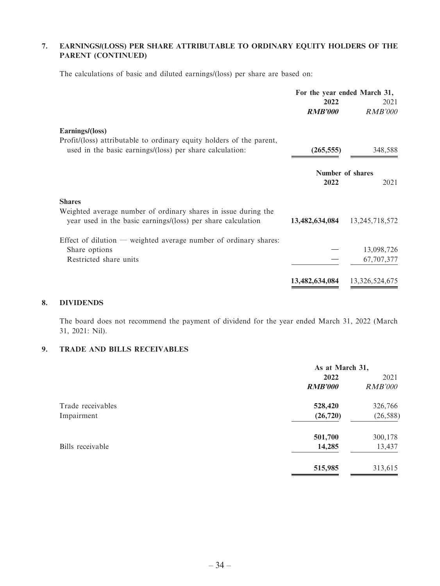### **7. EARNINGS/(LOSS) PER SHARE ATTRIBUTABLE TO ORDINARY EQUITY HOLDERS OF THE PARENT (CONTINUED)**

The calculations of basic and diluted earnings/(loss) per share are based on:

|                                                                                                                                  | For the year ended March 31, |                   |
|----------------------------------------------------------------------------------------------------------------------------------|------------------------------|-------------------|
|                                                                                                                                  | 2022                         | 2021              |
|                                                                                                                                  | <b>RMB'000</b>               | <b>RMB'000</b>    |
| Earnings/(loss)                                                                                                                  |                              |                   |
| Profit/(loss) attributable to ordinary equity holders of the parent,<br>used in the basic earnings/(loss) per share calculation: | (265, 555)                   | 348,588           |
|                                                                                                                                  |                              | Number of shares  |
|                                                                                                                                  | 2022                         | 2021              |
| <b>Shares</b>                                                                                                                    |                              |                   |
| Weighted average number of ordinary shares in issue during the<br>year used in the basic earnings/(loss) per share calculation   | 13,482,634,084               | 13, 245, 718, 572 |
| Effect of dilution — weighted average number of ordinary shares:                                                                 |                              |                   |
| Share options                                                                                                                    |                              | 13,098,726        |
| Restricted share units                                                                                                           |                              | 67,707,377        |
|                                                                                                                                  | 13,482,634,084               | 13,326,524,675    |

### **8. DIVIDENDS**

The board does not recommend the payment of dividend for the year ended March 31, 2022 (March 31, 2021: Nil).

### **9. TRADE AND BILLS RECEIVABLES**

|                   | As at March 31, |                |
|-------------------|-----------------|----------------|
|                   | 2022            | 2021           |
|                   | <b>RMB'000</b>  | <b>RMB'000</b> |
| Trade receivables | 528,420         | 326,766        |
| Impairment        | (26, 720)       | (26, 588)      |
|                   | 501,700         | 300,178        |
| Bills receivable  | 14,285          | 13,437         |
|                   | 515,985         | 313,615        |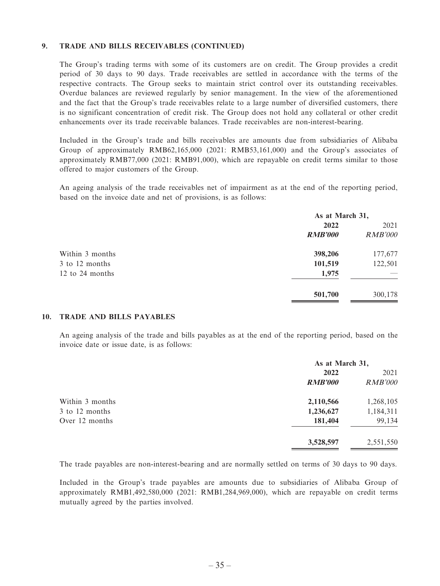### **9. TRADE AND BILLS RECEIVABLES (CONTINUED)**

The Group's trading terms with some of its customers are on credit. The Group provides a credit period of 30 days to 90 days. Trade receivables are settled in accordance with the terms of the respective contracts. The Group seeks to maintain strict control over its outstanding receivables. Overdue balances are reviewed regularly by senior management. In the view of the aforementioned and the fact that the Group's trade receivables relate to a large number of diversified customers, there is no significant concentration of credit risk. The Group does not hold any collateral or other credit enhancements over its trade receivable balances. Trade receivables are non-interest-bearing.

Included in the Group's trade and bills receivables are amounts due from subsidiaries of Alibaba Group of approximately RMB62,165,000 (2021: RMB53,161,000) and the Group's associates of approximately RMB77,000 (2021: RMB91,000), which are repayable on credit terms similar to those offered to major customers of the Group.

An ageing analysis of the trade receivables net of impairment as at the end of the reporting period, based on the invoice date and net of provisions, is as follows:

|                 | As at March 31, |                |
|-----------------|-----------------|----------------|
|                 | 2022            | 2021           |
|                 | <b>RMB'000</b>  | <b>RMB'000</b> |
| Within 3 months | 398,206         | 177,677        |
| 3 to 12 months  | 101,519         | 122,501        |
| 12 to 24 months | 1,975           |                |
|                 | 501,700         | 300,178        |

### **10. TRADE AND BILLS PAYABLES**

An ageing analysis of the trade and bills payables as at the end of the reporting period, based on the invoice date or issue date, is as follows:

|                 | As at March 31, |                |
|-----------------|-----------------|----------------|
|                 | 2022            | 2021           |
|                 | <b>RMB'000</b>  | <b>RMB'000</b> |
| Within 3 months | 2,110,566       | 1,268,105      |
| 3 to 12 months  | 1,236,627       | 1,184,311      |
| Over 12 months  | 181,404         | 99,134         |
|                 | 3,528,597       | 2,551,550      |

The trade payables are non-interest-bearing and are normally settled on terms of 30 days to 90 days.

Included in the Group's trade payables are amounts due to subsidiaries of Alibaba Group of approximately RMB1,492,580,000 (2021: RMB1,284,969,000), which are repayable on credit terms mutually agreed by the parties involved.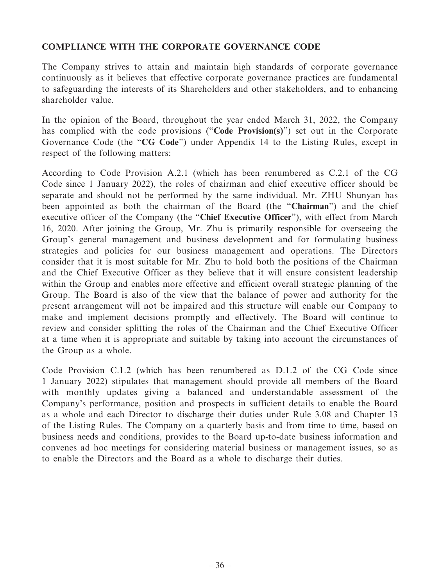## **COMPLIANCE WITH THE CORPORATE GOVERNANCE CODE**

The Company strives to attain and maintain high standards of corporate governance continuously as it believes that effective corporate governance practices are fundamental to safeguarding the interests of its Shareholders and other stakeholders, and to enhancing shareholder value.

In the opinion of the Board, throughout the year ended March 31, 2022, the Company has complied with the code provisions ("**Code Provision(s)**") set out in the Corporate Governance Code (the "**CG Code**") under Appendix 14 to the Listing Rules, except in respect of the following matters:

According to Code Provision A.2.1 (which has been renumbered as C.2.1 of the CG Code since 1 January 2022), the roles of chairman and chief executive officer should be separate and should not be performed by the same individual. Mr. ZHU Shunyan has been appointed as both the chairman of the Board (the "**Chairman**") and the chief executive officer of the Company (the "**Chief Executive Officer**"), with effect from March 16, 2020. After joining the Group, Mr. Zhu is primarily responsible for overseeing the Group's general management and business development and for formulating business strategies and policies for our business management and operations. The Directors consider that it is most suitable for Mr. Zhu to hold both the positions of the Chairman and the Chief Executive Officer as they believe that it will ensure consistent leadership within the Group and enables more effective and efficient overall strategic planning of the Group. The Board is also of the view that the balance of power and authority for the present arrangement will not be impaired and this structure will enable our Company to make and implement decisions promptly and effectively. The Board will continue to review and consider splitting the roles of the Chairman and the Chief Executive Officer at a time when it is appropriate and suitable by taking into account the circumstances of the Group as a whole.

Code Provision C.1.2 (which has been renumbered as D.1.2 of the CG Code since 1 January 2022) stipulates that management should provide all members of the Board with monthly updates giving a balanced and understandable assessment of the Company's performance, position and prospects in sufficient details to enable the Board as a whole and each Director to discharge their duties under Rule 3.08 and Chapter 13 of the Listing Rules. The Company on a quarterly basis and from time to time, based on business needs and conditions, provides to the Board up-to-date business information and convenes ad hoc meetings for considering material business or management issues, so as to enable the Directors and the Board as a whole to discharge their duties.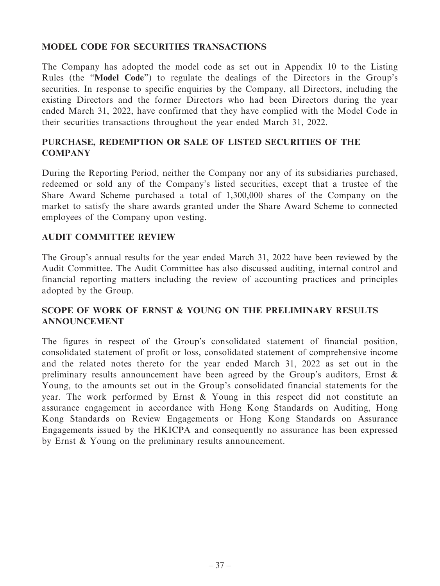## **MODEL CODE FOR SECURITIES TRANSACTIONS**

The Company has adopted the model code as set out in Appendix 10 to the Listing Rules (the "**Model Code**") to regulate the dealings of the Directors in the Group's securities. In response to specific enquiries by the Company, all Directors, including the existing Directors and the former Directors who had been Directors during the year ended March 31, 2022, have confirmed that they have complied with the Model Code in their securities transactions throughout the year ended March 31, 2022.

## **PURCHASE, REDEMPTION OR SALE OF LISTED SECURITIES OF THE COMPANY**

During the Reporting Period, neither the Company nor any of its subsidiaries purchased, redeemed or sold any of the Company's listed securities, except that a trustee of the Share Award Scheme purchased a total of 1,300,000 shares of the Company on the market to satisfy the share awards granted under the Share Award Scheme to connected employees of the Company upon vesting.

## **AUDIT COMMITTEE REVIEW**

The Group's annual results for the year ended March 31, 2022 have been reviewed by the Audit Committee. The Audit Committee has also discussed auditing, internal control and financial reporting matters including the review of accounting practices and principles adopted by the Group.

## **SCOPE OF WORK OF ERNST & YOUNG ON THE PRELIMINARY RESULTS ANNOUNCEMENT**

The figures in respect of the Group's consolidated statement of financial position, consolidated statement of profit or loss, consolidated statement of comprehensive income and the related notes thereto for the year ended March 31, 2022 as set out in the preliminary results announcement have been agreed by the Group's auditors, Ernst & Young, to the amounts set out in the Group's consolidated financial statements for the year. The work performed by Ernst & Young in this respect did not constitute an assurance engagement in accordance with Hong Kong Standards on Auditing, Hong Kong Standards on Review Engagements or Hong Kong Standards on Assurance Engagements issued by the HKICPA and consequently no assurance has been expressed by Ernst & Young on the preliminary results announcement.